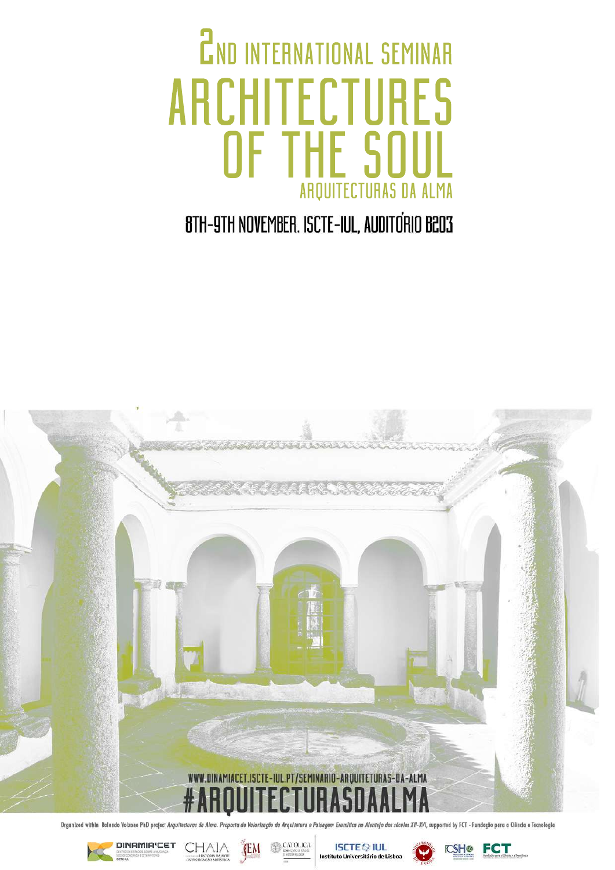### 2ND INTERNATIONAL SEMINAR ARCHITECTURES OF THE ARQ HE RQUITI E SI ITECTUR **SOU** URAS | **OUL** SDA AI UL **ALMA** L ma

8TH-9TH NOVEMBER. ISCTE-IUL, AUDITORIO B203



Organized within Rolando Volzone PhD project Arquitecturas Alma Propost .<br>Arquitetura e Paisagem Eremítica no Alentejo dos séculos XII-XVI, supported by FCT - Fundação para a Ciência e Tecnologia



**DINAMIA'CET CHAIA** 



**ISCTE OF IUL** 



**FCT**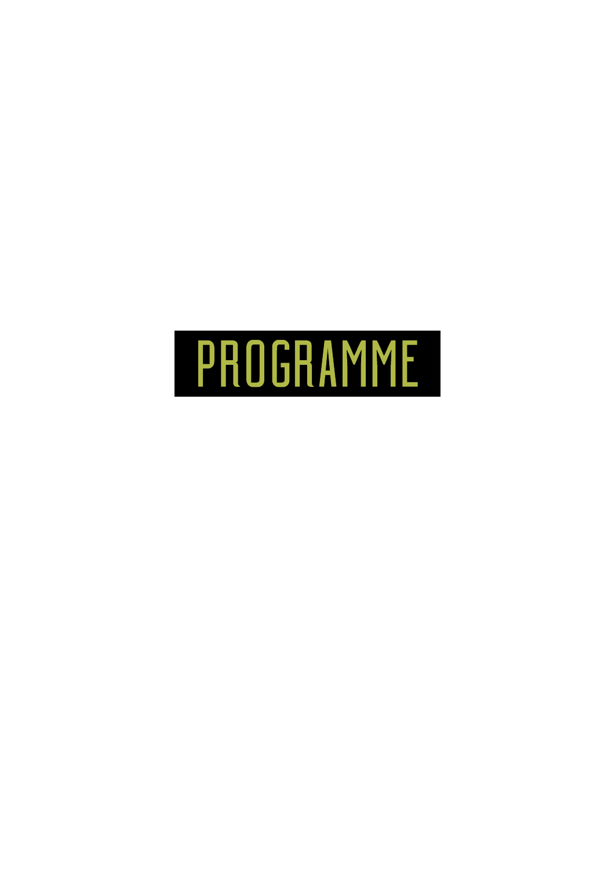# programme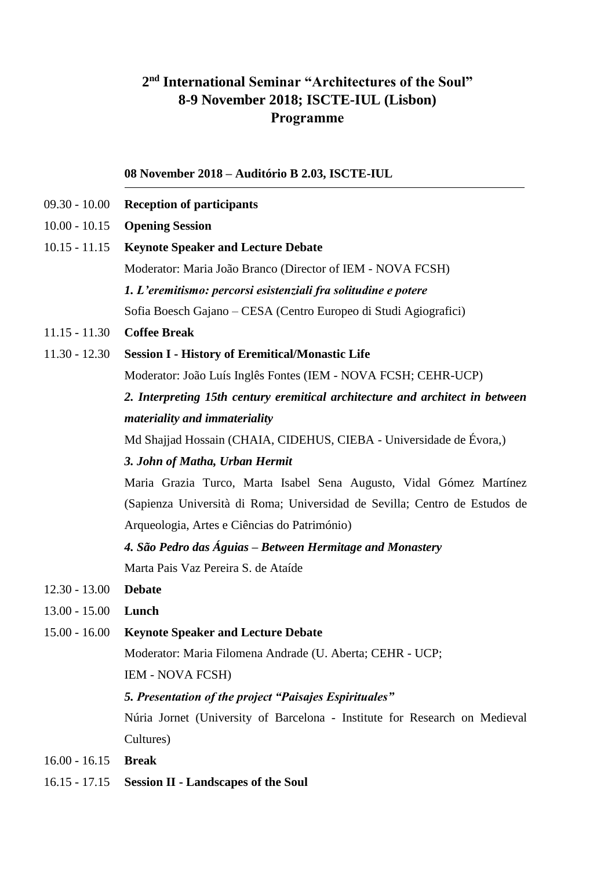# **2 nd International Seminar "Architectures of the Soul" 8-9 November 2018; ISCTE-IUL (Lisbon) Programme**

# **08 November 2018 – Auditório B 2.03, ISCTE-IUL**

- 09.30 10.00 **Reception of participants**
- 10.00 10.15 **Opening Session**
- 10.15 11.15 **Keynote Speaker and Lecture Debate** Moderator: Maria João Branco (Director of IEM - NOVA FCSH) *1. L'eremitismo: percorsi esistenziali fra solitudine e potere*  Sofia Boesch Gajano – CESA (Centro Europeo di Studi Agiografici) 11.15 - 11.30 **Coffee Break** 11.30 - 12.30 **Session I - History of Eremitical/Monastic Life** Moderator: João Luís Inglês Fontes (IEM - NOVA FCSH; CEHR-UCP) *2. Interpreting 15th century eremitical architecture and architect in between materiality and immateriality* Md Shajjad Hossain (CHAIA, CIDEHUS, CIEBA - Universidade de Évora,) *3. John of Matha, Urban Hermit* Maria Grazia Turco, Marta Isabel Sena Augusto, Vidal Gómez Martínez (Sapienza Università di Roma; Universidad de Sevilla; Centro de Estudos de Arqueologia, Artes e Ciências do Património) *4. São Pedro das Águias – Between Hermitage and Monastery* Marta Pais Vaz Pereira S. de Ataíde 12.30 - 13.00 **Debate** 13.00 - 15.00 **Lunch** 15.00 - 16.00 **Keynote Speaker and Lecture Debate** Moderator: Maria Filomena Andrade (U. Aberta; CEHR - UCP; IEM - NOVA FCSH) *5. Presentation of the project "Paisajes Espirituales"* Núria Jornet (University of Barcelona - Institute for Research on Medieval

Cultures)

- 16.00 16.15 **Break**
- 16.15 17.15 **Session II - Landscapes of the Soul**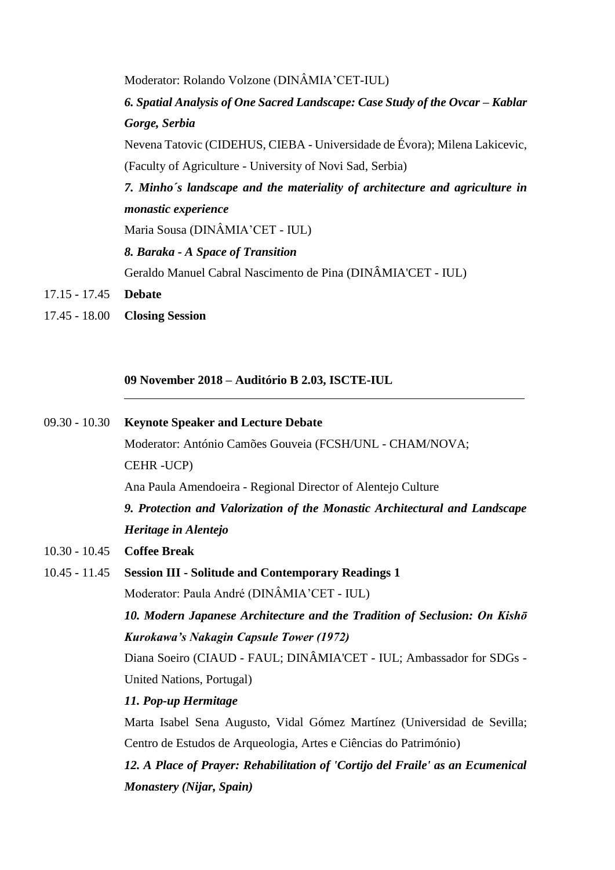Moderator: Rolando Volzone (DINÂMIA'CET-IUL) **6. Spatial Analysis of One Sacred Landscape: Case Study of the Ovcar – Kablar** *Gorge, Serbia* Nevena Tatovic (CIDEHUS, CIEBA - Universidade de Évora); Milena Lakicevic, (Faculty of Agriculture - University of Novi Sad, Serbia) *7. Minho´s landscape and the materiality of architecture and agriculture in monastic experience* Maria Sousa (DINÂMIA'CET - IUL) *8. Baraka - A Space of Transition* Geraldo Manuel Cabral Nascimento de Pina (DINÂMIA'CET - IUL) 17.15 - 17.45 **Debate**

17.45 - 18.00 **Closing Session**

**09 November 2018 – Auditório B 2.03, ISCTE-IUL**

### 09.30 - 10.30 **Keynote Speaker and Lecture Debate**

Moderator: António Camões Gouveia (FCSH/UNL - CHAM/NOVA; CEHR -UCP)

Ana Paula Amendoeira - Regional Director of Alentejo Culture

*9. Protection and Valorization of the Monastic Architectural and Landscape Heritage in Alentejo* 

- 10.30 10.45 **Coffee Break**
- 10.45 11.45 **Session III - Solitude and Contemporary Readings 1**

Moderator: Paula André (DINÂMIA'CET - IUL)

*10. Modern Japanese Architecture and the Tradition of Seclusion: On Kishō Kurokawa's Nakagin Capsule Tower (1972)*

Diana Soeiro (CIAUD - FAUL; DINÂMIA'CET - IUL; Ambassador for SDGs - United Nations, Portugal)

## *11. Pop-up Hermitage*

Marta Isabel Sena Augusto, Vidal Gómez Martínez (Universidad de Sevilla; Centro de Estudos de Arqueologia, Artes e Ciências do Património)

*12. A Place of Prayer: Rehabilitation of 'Cortijo del Fraile' as an Ecumenical Monastery (Nijar, Spain)*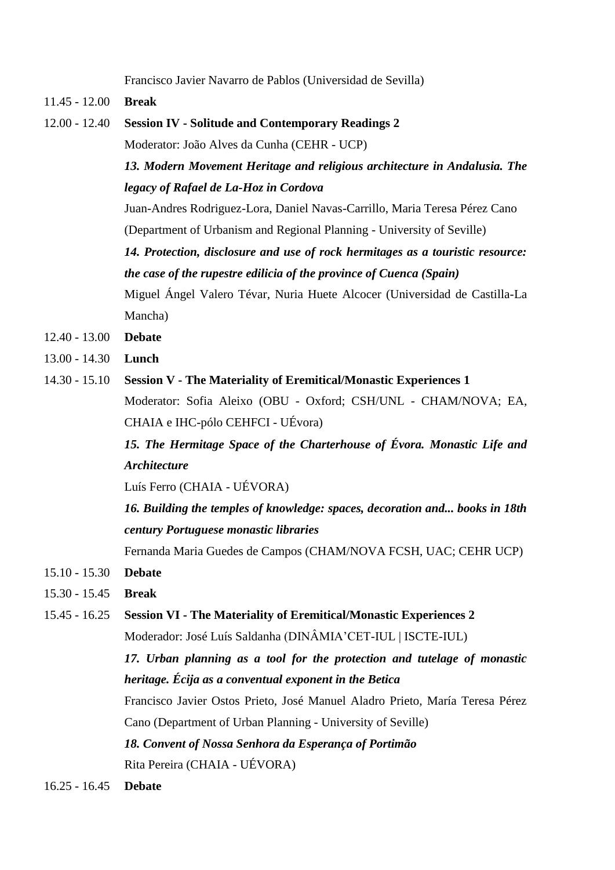Francisco Javier Navarro de Pablos (Universidad de Sevilla)

11.45 - 12.00 **Break**

12.00 - 12.40 **Session IV - Solitude and Contemporary Readings 2**

Moderator: João Alves da Cunha (CEHR - UCP)

*13. Modern Movement Heritage and religious architecture in Andalusia. The legacy of Rafael de La-Hoz in Cordova*

Juan-Andres Rodriguez-Lora, Daniel Navas-Carrillo, Maria Teresa Pérez Cano (Department of Urbanism and Regional Planning - University of Seville)

*14. Protection, disclosure and use of rock hermitages as a touristic resource: the case of the rupestre edilicia of the province of Cuenca (Spain)*

Miguel Ángel Valero Tévar, Nuria Huete Alcocer (Universidad de Castilla-La Mancha)

- 12.40 13.00 **Debate**
- 13.00 14.30 **Lunch**
- 14.30 15.10 **Session V - The Materiality of Eremitical/Monastic Experiences 1** Moderator: Sofia Aleixo (OBU - Oxford; CSH/UNL - CHAM/NOVA; EA, CHAIA e IHC-pólo CEHFCI - UÉvora)

*15. The Hermitage Space of the Charterhouse of Évora. Monastic Life and Architecture*

Luís Ferro (CHAIA - UÉVORA)

*16. Building the temples of knowledge: spaces, decoration and... books in 18th century Portuguese monastic libraries*

Fernanda Maria Guedes de Campos (CHAM/NOVA FCSH, UAC; CEHR UCP)

- 15.10 15.30 **Debate**
- 15.30 15.45 **Break**
- 15.45 16.25 **Session VI - The Materiality of Eremitical/Monastic Experiences 2**

Moderador: José Luís Saldanha (DINÂMIA'CET-IUL | ISCTE-IUL)

*17. Urban planning as a tool for the protection and tutelage of monastic heritage. Écija as a conventual exponent in the Betica*

Francisco Javier Ostos Prieto, José Manuel Aladro Prieto, María Teresa Pérez Cano (Department of Urban Planning - University of Seville)

*18. Convent of Nossa Senhora da Esperança of Portimão*

Rita Pereira (CHAIA - UÉVORA)

16.25 - 16.45 **Debate**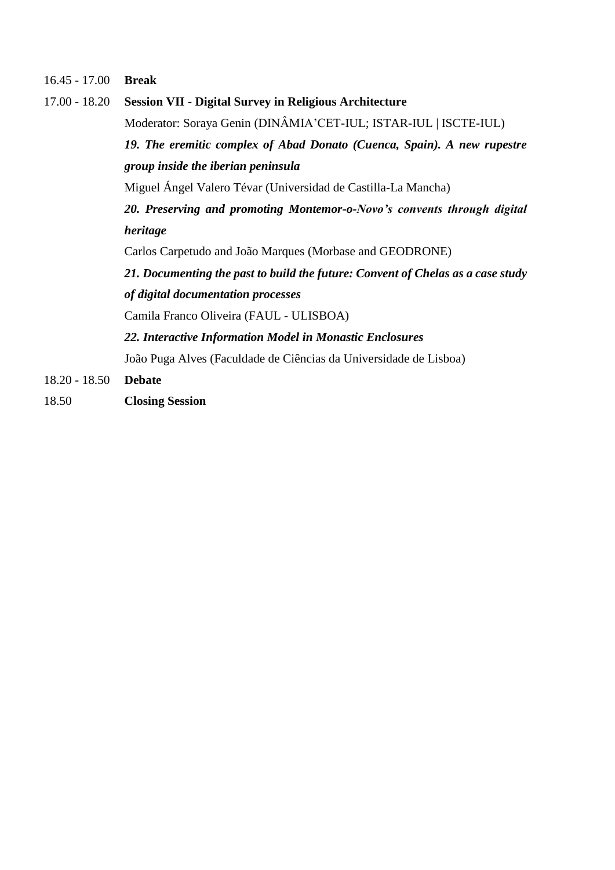16.45 - 17.00 **Break**

| $17.00 - 18.20$ | <b>Session VII - Digital Survey in Religious Architecture</b>                   |
|-----------------|---------------------------------------------------------------------------------|
|                 | Moderator: Soraya Genin (DINÂMIA'CET-IUL; ISTAR-IUL   ISCTE-IUL)                |
|                 | 19. The eremitic complex of Abad Donato (Cuenca, Spain). A new rupestre         |
|                 | group inside the iberian peninsula                                              |
|                 | Miguel Ángel Valero Tévar (Universidad de Castilla-La Mancha)                   |
|                 | 20. Preserving and promoting Montemor-o-Novo's convents through digital         |
|                 | heritage                                                                        |
|                 | Carlos Carpetudo and João Marques (Morbase and GEODRONE)                        |
|                 | 21. Documenting the past to build the future: Convent of Chelas as a case study |
|                 | of digital documentation processes                                              |
|                 | Camila Franco Oliveira (FAUL - ULISBOA)                                         |
|                 | 22. Interactive Information Model in Monastic Enclosures                        |
|                 | João Puga Alves (Faculdade de Ciências da Universidade de Lisboa)               |
| $18.20 - 18.50$ | <b>Debate</b>                                                                   |
|                 |                                                                                 |

18.50 **Closing Session**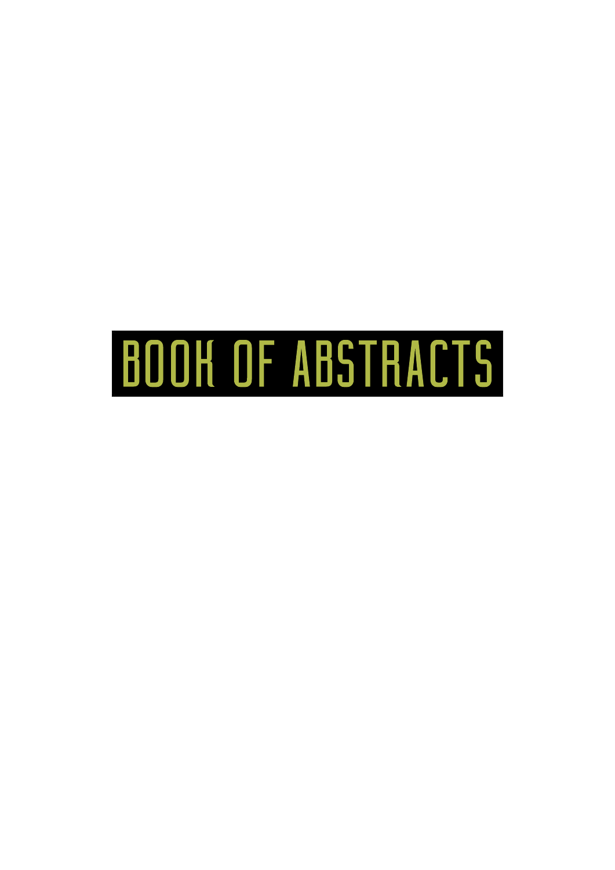# BOOK OF ABSTRACTS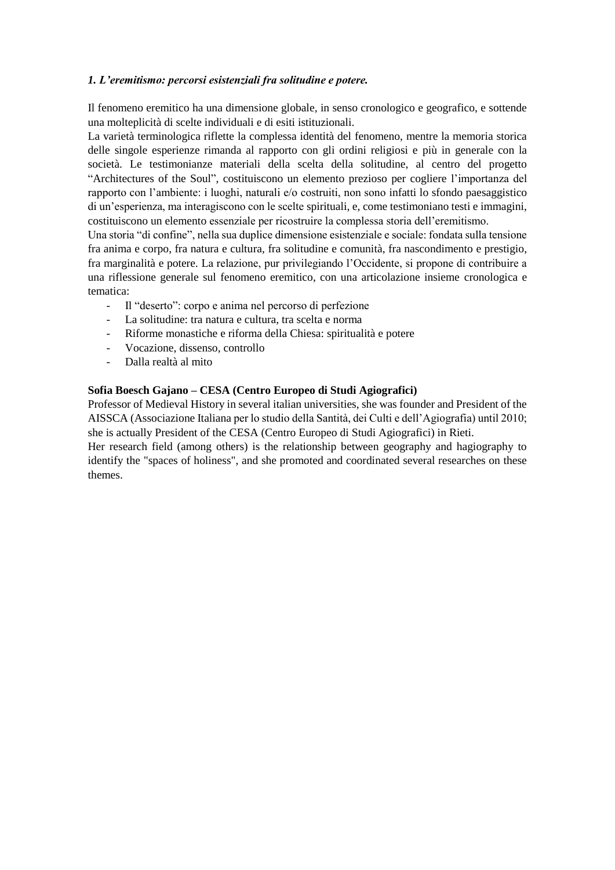# *1. L'eremitismo: percorsi esistenziali fra solitudine e potere.*

Il fenomeno eremitico ha una dimensione globale, in senso cronologico e geografico, e sottende una molteplicità di scelte individuali e di esiti istituzionali.

La varietà terminologica riflette la complessa identità del fenomeno, mentre la memoria storica delle singole esperienze rimanda al rapporto con gli ordini religiosi e più in generale con la società. Le testimonianze materiali della scelta della solitudine, al centro del progetto "Architectures of the Soul", costituiscono un elemento prezioso per cogliere l'importanza del rapporto con l'ambiente: i luoghi, naturali e/o costruiti, non sono infatti lo sfondo paesaggistico di un'esperienza, ma interagiscono con le scelte spirituali, e, come testimoniano testi e immagini, costituiscono un elemento essenziale per ricostruire la complessa storia dell'eremitismo.

Una storia "di confine", nella sua duplice dimensione esistenziale e sociale: fondata sulla tensione fra anima e corpo, fra natura e cultura, fra solitudine e comunità, fra nascondimento e prestigio, fra marginalità e potere. La relazione, pur privilegiando l'Occidente, si propone di contribuire a una riflessione generale sul fenomeno eremitico, con una articolazione insieme cronologica e tematica:

- Il "deserto": corpo e anima nel percorso di perfezione
- La solitudine: tra natura e cultura, tra scelta e norma
- Riforme monastiche e riforma della Chiesa: spiritualità e potere
- Vocazione, dissenso, controllo
- Dalla realtà al mito

## **Sofia Boesch Gajano – CESA (Centro Europeo di Studi Agiografici)**

Professor of Medieval History in several italian universities, she was founder and President of the AISSCA (Associazione Italiana per lo studio della Santità, dei Culti e dell'Agiografia) until 2010; she is actually President of the CESA (Centro Europeo di Studi Agiografici) in Rieti. Her research field (among others) is the relationship between geography and hagiography to

identify the "spaces of holiness", and she promoted and coordinated several researches on these themes.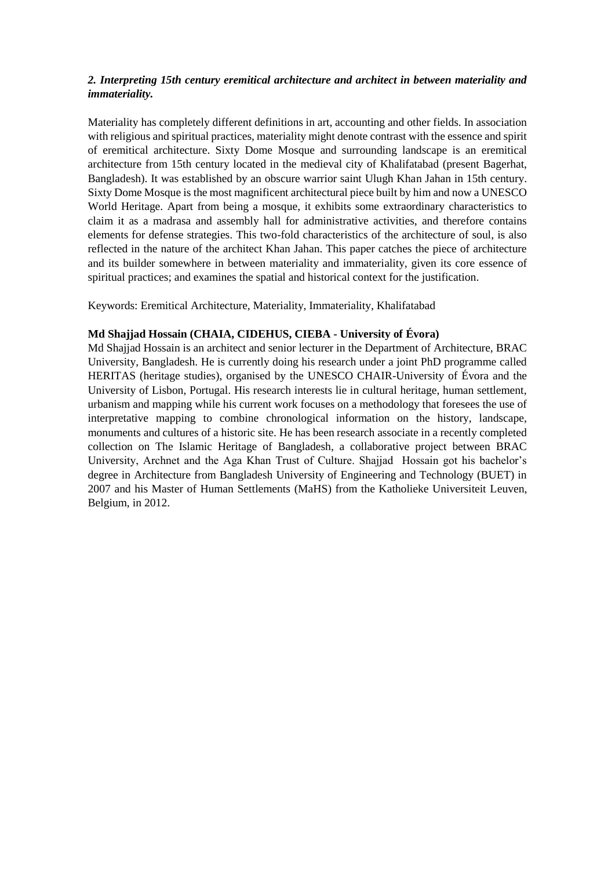# *2. Interpreting 15th century eremitical architecture and architect in between materiality and immateriality.*

Materiality has completely different definitions in art, accounting and other fields. In association with religious and spiritual practices, materiality might denote contrast with the essence and spirit of eremitical architecture. Sixty Dome Mosque and surrounding landscape is an eremitical architecture from 15th century located in the medieval city of Khalifatabad (present Bagerhat, Bangladesh). It was established by an obscure warrior saint Ulugh Khan Jahan in 15th century. Sixty Dome Mosque is the most magnificent architectural piece built by him and now a UNESCO World Heritage. Apart from being a mosque, it exhibits some extraordinary characteristics to claim it as a madrasa and assembly hall for administrative activities, and therefore contains elements for defense strategies. This two-fold characteristics of the architecture of soul, is also reflected in the nature of the architect Khan Jahan. This paper catches the piece of architecture and its builder somewhere in between materiality and immateriality, given its core essence of spiritual practices; and examines the spatial and historical context for the justification.

Keywords: Eremitical Architecture, Materiality, Immateriality, Khalifatabad

## **Md Shajjad Hossain (CHAIA, CIDEHUS, CIEBA - University of Évora)**

Md Shajjad Hossain is an architect and senior lecturer in the Department of Architecture, BRAC University, Bangladesh. He is currently doing his research under a joint PhD programme called HERITAS (heritage studies), organised by the UNESCO CHAIR-University of Évora and the University of Lisbon, Portugal. His research interests lie in cultural heritage, human settlement, urbanism and mapping while his current work focuses on a methodology that foresees the use of interpretative mapping to combine chronological information on the history, landscape, monuments and cultures of a historic site. He has been research associate in a recently completed collection on The Islamic Heritage of Bangladesh, a collaborative project between BRAC University, Archnet and the Aga Khan Trust of Culture. Shajjad Hossain got his bachelor's degree in Architecture from Bangladesh University of Engineering and Technology (BUET) in 2007 and his Master of Human Settlements (MaHS) from the Katholieke Universiteit Leuven, Belgium, in 2012.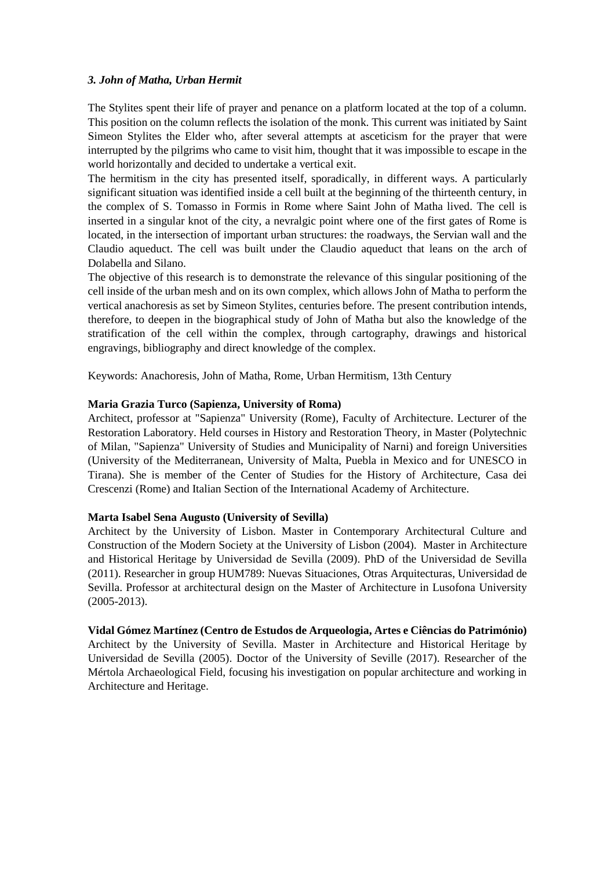### *3. John of Matha, Urban Hermit*

The Stylites spent their life of prayer and penance on a platform located at the top of a column. This position on the column reflects the isolation of the monk. This current was initiated by Saint Simeon Stylites the Elder who, after several attempts at asceticism for the prayer that were interrupted by the pilgrims who came to visit him, thought that it was impossible to escape in the world horizontally and decided to undertake a vertical exit.

The hermitism in the city has presented itself, sporadically, in different ways. A particularly significant situation was identified inside a cell built at the beginning of the thirteenth century, in the complex of S. Tomasso in Formis in Rome where Saint John of Matha lived. The cell is inserted in a singular knot of the city, a nevralgic point where one of the first gates of Rome is located, in the intersection of important urban structures: the roadways, the Servian wall and the Claudio aqueduct. The cell was built under the Claudio aqueduct that leans on the arch of Dolabella and Silano.

The objective of this research is to demonstrate the relevance of this singular positioning of the cell inside of the urban mesh and on its own complex, which allows John of Matha to perform the vertical anachoresis as set by Simeon Stylites, centuries before. The present contribution intends, therefore, to deepen in the biographical study of John of Matha but also the knowledge of the stratification of the cell within the complex, through cartography, drawings and historical engravings, bibliography and direct knowledge of the complex.

Keywords: Anachoresis, John of Matha, Rome, Urban Hermitism, 13th Century

## **Maria Grazia Turco (Sapienza, University of Roma)**

Architect, professor at "Sapienza" University (Rome), Faculty of Architecture. Lecturer of the Restoration Laboratory. Held courses in History and Restoration Theory, in Master (Polytechnic of Milan, "Sapienza" University of Studies and Municipality of Narni) and foreign Universities (University of the Mediterranean, University of Malta, Puebla in Mexico and for UNESCO in Tirana). She is member of the Center of Studies for the History of Architecture, Casa dei Crescenzi (Rome) and Italian Section of the International Academy of Architecture.

### **Marta Isabel Sena Augusto (University of Sevilla)**

Architect by the University of Lisbon. Master in Contemporary Architectural Culture and Construction of the Modern Society at the University of Lisbon (2004). Master in Architecture and Historical Heritage by Universidad de Sevilla (2009). PhD of the Universidad de Sevilla (2011). Researcher in group HUM789: Nuevas Situaciones, Otras Arquitecturas, Universidad de Sevilla. Professor at architectural design on the Master of Architecture in Lusofona University (2005-2013).

# **Vidal Gómez Martínez (Centro de Estudos de Arqueologia, Artes e Ciências do Património)**

Architect by the University of Sevilla. Master in Architecture and Historical Heritage by Universidad de Sevilla (2005). Doctor of the University of Seville (2017). Researcher of the Mértola Archaeological Field, focusing his investigation on popular architecture and working in Architecture and Heritage.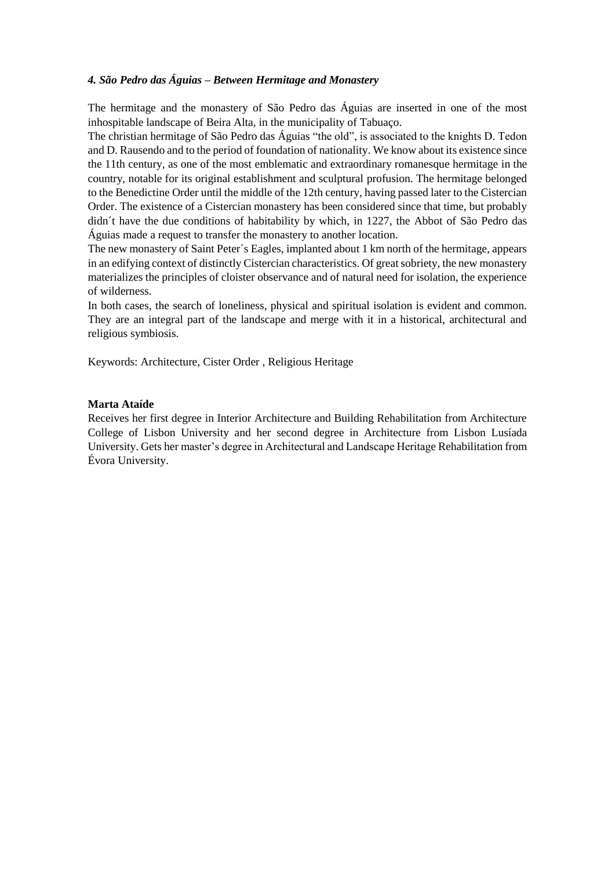# *4. São Pedro das Águias – Between Hermitage and Monastery*

The hermitage and the monastery of São Pedro das Águias are inserted in one of the most inhospitable landscape of Beira Alta, in the municipality of Tabuaço.

The christian hermitage of São Pedro das Águias "the old", is associated to the knights D. Tedon and D. Rausendo and to the period of foundation of nationality. We know about its existence since the 11th century, as one of the most emblematic and extraordinary romanesque hermitage in the country, notable for its original establishment and sculptural profusion. The hermitage belonged to the Benedictine Order until the middle of the 12th century, having passed later to the Cistercian Order. The existence of a Cistercian monastery has been considered since that time, but probably didn´t have the due conditions of habitability by which, in 1227, the Abbot of São Pedro das Águias made a request to transfer the monastery to another location.

The new monastery of Saint Peter´s Eagles, implanted about 1 km north of the hermitage, appears in an edifying context of distinctly Cistercian characteristics. Of great sobriety, the new monastery materializes the principles of cloister observance and of natural need for isolation, the experience of wilderness.

In both cases, the search of loneliness, physical and spiritual isolation is evident and common. They are an integral part of the landscape and merge with it in a historical, architectural and religious symbiosis.

Keywords: Architecture, Cister Order , Religious Heritage

### **Marta Ataíde**

Receives her first degree in Interior Architecture and Building Rehabilitation from Architecture College of Lisbon University and her second degree in Architecture from Lisbon Lusíada University. Gets her master's degree in Architectural and Landscape Heritage Rehabilitation from Évora University.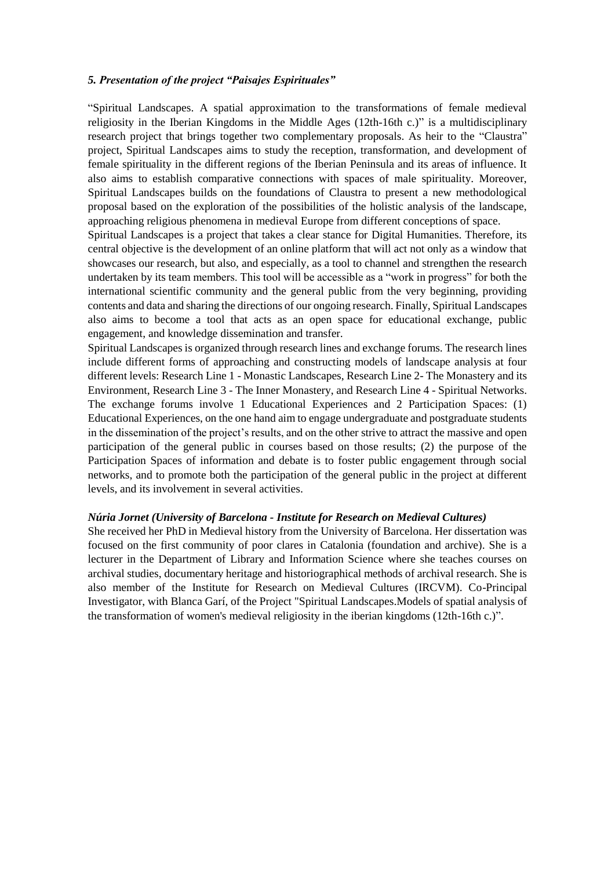### *5. Presentation of the project "Paisajes Espirituales"*

"Spiritual Landscapes. A spatial approximation to the transformations of female medieval religiosity in the Iberian Kingdoms in the Middle Ages (12th-16th c.)" is a multidisciplinary research project that brings together two complementary proposals. As heir to the "Claustra" project, Spiritual Landscapes aims to study the reception, transformation, and development of female spirituality in the different regions of the Iberian Peninsula and its areas of influence. It also aims to establish comparative connections with spaces of male spirituality. Moreover, Spiritual Landscapes builds on the foundations of Claustra to present a new methodological proposal based on the exploration of the possibilities of the holistic analysis of the landscape, approaching religious phenomena in medieval Europe from different conceptions of space.

Spiritual Landscapes is a project that takes a clear stance for Digital Humanities. Therefore, its central objective is the development of an online platform that will act not only as a window that showcases our research, but also, and especially, as a tool to channel and strengthen the research undertaken by its team members. This tool will be accessible as a "work in progress" for both the international scientific community and the general public from the very beginning, providing contents and data and sharing the directions of our ongoing research. Finally, Spiritual Landscapes also aims to become a tool that acts as an open space for educational exchange, public engagement, and knowledge dissemination and transfer.

Spiritual Landscapes is organized through research lines and exchange forums. The research lines include different forms of approaching and constructing models of landscape analysis at four different levels: Research Line 1 - Monastic Landscapes, Research Line 2- The Monastery and its Environment, Research Line 3 - The Inner Monastery, and Research Line 4 - Spiritual Networks. The exchange forums involve 1 Educational Experiences and 2 Participation Spaces: (1) Educational Experiences, on the one hand aim to engage undergraduate and postgraduate students in the dissemination of the project's results, and on the other strive to attract the massive and open participation of the general public in courses based on those results; (2) the purpose of the Participation Spaces of information and debate is to foster public engagement through social networks, and to promote both the participation of the general public in the project at different levels, and its involvement in several activities.

### *Núria Jornet (University of Barcelona - Institute for Research on Medieval Cultures)*

She received her PhD in Medieval history from the University of Barcelona. Her dissertation was focused on the first community of poor clares in Catalonia (foundation and archive). She is a lecturer in the Department of Library and Information Science where she teaches courses on archival studies, documentary heritage and historiographical methods of archival research. She is also member of the Institute for Research on Medieval Cultures (IRCVM). Co-Principal Investigator, with Blanca Garí, of the Project "Spiritual Landscapes.Models of spatial analysis of the transformation of women's medieval religiosity in the iberian kingdoms (12th-16th c.)".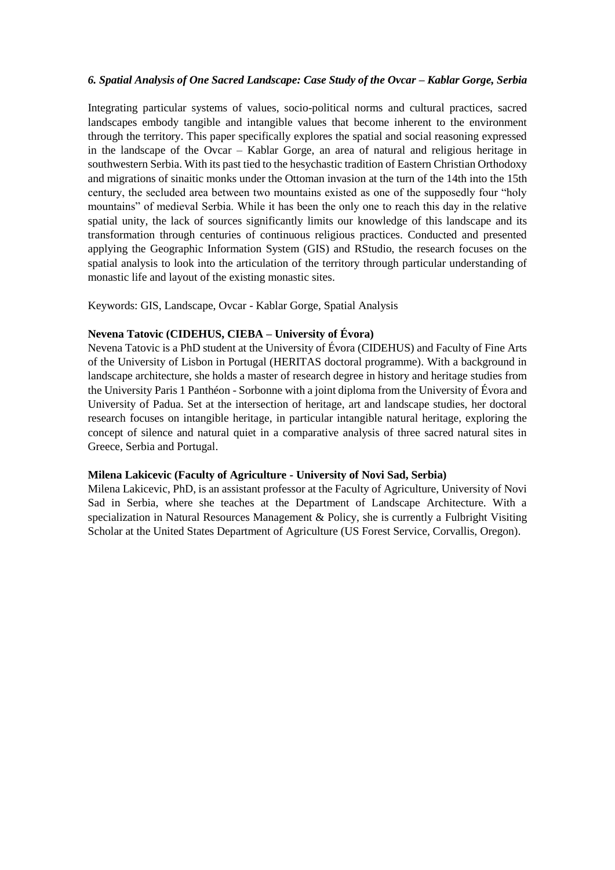### 6. Spatial Analysis of One Sacred Landscape: Case Study of the Ovcar - Kablar Gorge, Serbia

Integrating particular systems of values, socio-political norms and cultural practices, sacred landscapes embody tangible and intangible values that become inherent to the environment through the territory. This paper specifically explores the spatial and social reasoning expressed in the landscape of the Ovcar – Kablar Gorge, an area of natural and religious heritage in southwestern Serbia. With its past tied to the hesychastic tradition of Eastern Christian Orthodoxy and migrations of sinaitic monks under the Ottoman invasion at the turn of the 14th into the 15th century, the secluded area between two mountains existed as one of the supposedly four "holy mountains" of medieval Serbia. While it has been the only one to reach this day in the relative spatial unity, the lack of sources significantly limits our knowledge of this landscape and its transformation through centuries of continuous religious practices. Conducted and presented applying the Geographic Information System (GIS) and RStudio, the research focuses on the spatial analysis to look into the articulation of the territory through particular understanding of monastic life and layout of the existing monastic sites.

Keywords: GIS, Landscape, Ovcar - Kablar Gorge, Spatial Analysis

## **Nevena Tatovic (CIDEHUS, CIEBA – University of Évora)**

Nevena Tatovic is a PhD student at the University of Évora (CIDEHUS) and Faculty of Fine Arts of the University of Lisbon in Portugal (HERITAS doctoral programme). With a background in landscape architecture, she holds a master of research degree in history and heritage studies from the University Paris 1 Panthéon - Sorbonne with a joint diploma from the University of Évora and University of Padua. Set at the intersection of heritage, art and landscape studies, her doctoral research focuses on intangible heritage, in particular intangible natural heritage, exploring the concept of silence and natural quiet in a comparative analysis of three sacred natural sites in Greece, Serbia and Portugal.

### **Milena Lakicevic (Faculty of Agriculture - University of Novi Sad, Serbia)**

Milena Lakicevic, PhD, is an assistant professor at the Faculty of Agriculture, University of Novi Sad in Serbia, where she teaches at the Department of Landscape Architecture. With a specialization in Natural Resources Management & Policy, she is currently a Fulbright Visiting Scholar at the United States Department of Agriculture (US Forest Service, Corvallis, Oregon).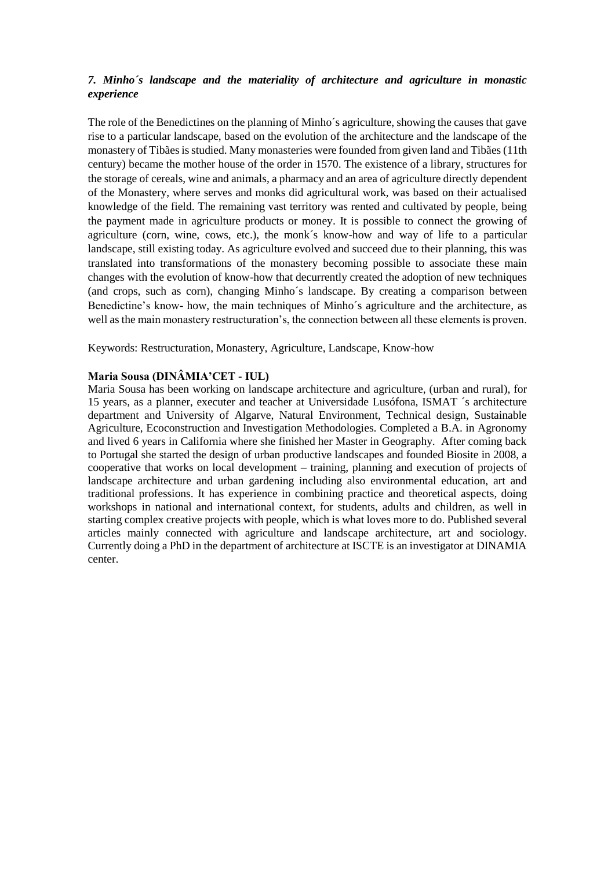# *7. Minho´s landscape and the materiality of architecture and agriculture in monastic experience*

The role of the Benedictines on the planning of Minho´s agriculture, showing the causes that gave rise to a particular landscape, based on the evolution of the architecture and the landscape of the monastery of Tibães is studied. Many monasteries were founded from given land and Tibães (11th century) became the mother house of the order in 1570. The existence of a library, structures for the storage of cereals, wine and animals, a pharmacy and an area of agriculture directly dependent of the Monastery, where serves and monks did agricultural work, was based on their actualised knowledge of the field. The remaining vast territory was rented and cultivated by people, being the payment made in agriculture products or money. It is possible to connect the growing of agriculture (corn, wine, cows, etc.), the monk´s know-how and way of life to a particular landscape, still existing today. As agriculture evolved and succeed due to their planning, this was translated into transformations of the monastery becoming possible to associate these main changes with the evolution of know-how that decurrently created the adoption of new techniques (and crops, such as corn), changing Minho´s landscape. By creating a comparison between Benedictine's know- how, the main techniques of Minho´s agriculture and the architecture, as well as the main monastery restructuration's, the connection between all these elements is proven.

Keywords: Restructuration, Monastery, Agriculture, Landscape, Know-how

# **Maria Sousa (DINÂMIA'CET - IUL)**

Maria Sousa has been working on landscape architecture and agriculture, (urban and rural), for 15 years, as a planner, executer and teacher at Universidade Lusófona, ISMAT ´s architecture department and University of Algarve, Natural Environment, Technical design, Sustainable Agriculture, Ecoconstruction and Investigation Methodologies. Completed a B.A. in Agronomy and lived 6 years in California where she finished her Master in Geography. After coming back to Portugal she started the design of urban productive landscapes and founded Biosite in 2008, a cooperative that works on local development – training, planning and execution of projects of landscape architecture and urban gardening including also environmental education, art and traditional professions. It has experience in combining practice and theoretical aspects, doing workshops in national and international context, for students, adults and children, as well in starting complex creative projects with people, which is what loves more to do. Published several articles mainly connected with agriculture and landscape architecture, art and sociology. Currently doing a PhD in the department of architecture at ISCTE is an investigator at DINAMIA center.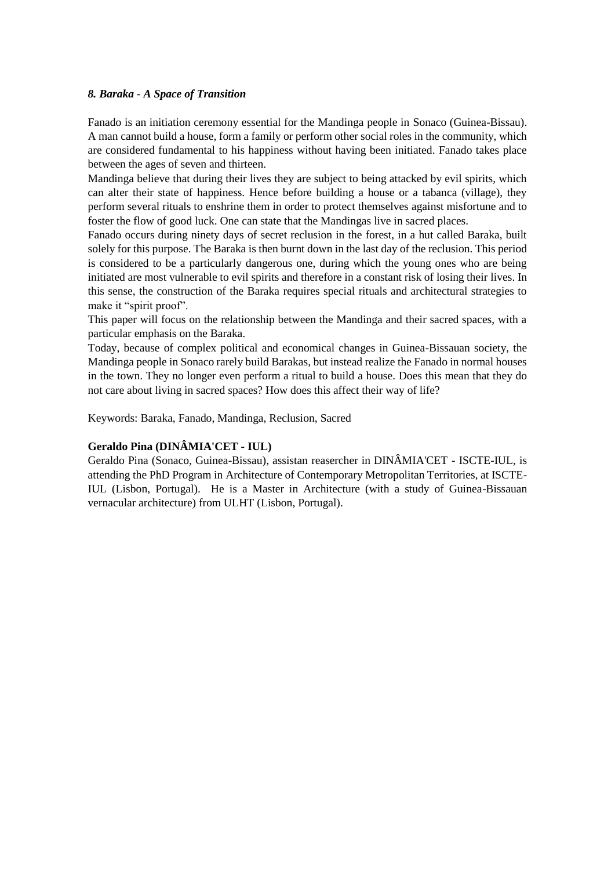### *8. Baraka - A Space of Transition*

Fanado is an initiation ceremony essential for the Mandinga people in Sonaco (Guinea-Bissau). A man cannot build a house, form a family or perform other social roles in the community, which are considered fundamental to his happiness without having been initiated. Fanado takes place between the ages of seven and thirteen.

Mandinga believe that during their lives they are subject to being attacked by evil spirits, which can alter their state of happiness. Hence before building a house or a tabanca (village), they perform several rituals to enshrine them in order to protect themselves against misfortune and to foster the flow of good luck. One can state that the Mandingas live in sacred places.

Fanado occurs during ninety days of secret reclusion in the forest, in a hut called Baraka, built solely for this purpose. The Baraka is then burnt down in the last day of the reclusion. This period is considered to be a particularly dangerous one, during which the young ones who are being initiated are most vulnerable to evil spirits and therefore in a constant risk of losing their lives. In this sense, the construction of the Baraka requires special rituals and architectural strategies to make it "spirit proof".

This paper will focus on the relationship between the Mandinga and their sacred spaces, with a particular emphasis on the Baraka.

Today, because of complex political and economical changes in Guinea-Bissauan society, the Mandinga people in Sonaco rarely build Barakas, but instead realize the Fanado in normal houses in the town. They no longer even perform a ritual to build a house. Does this mean that they do not care about living in sacred spaces? How does this affect their way of life?

Keywords: Baraka, Fanado, Mandinga, Reclusion, Sacred

# **Geraldo Pina (DINÂMIA'CET - IUL)**

Geraldo Pina (Sonaco, Guinea-Bissau), assistan reasercher in DINÂMIA'CET - ISCTE-IUL, is attending the PhD Program in Architecture of Contemporary Metropolitan Territories, at ISCTE-IUL (Lisbon, Portugal). He is a Master in Architecture (with a study of Guinea-Bissauan vernacular architecture) from ULHT (Lisbon, Portugal).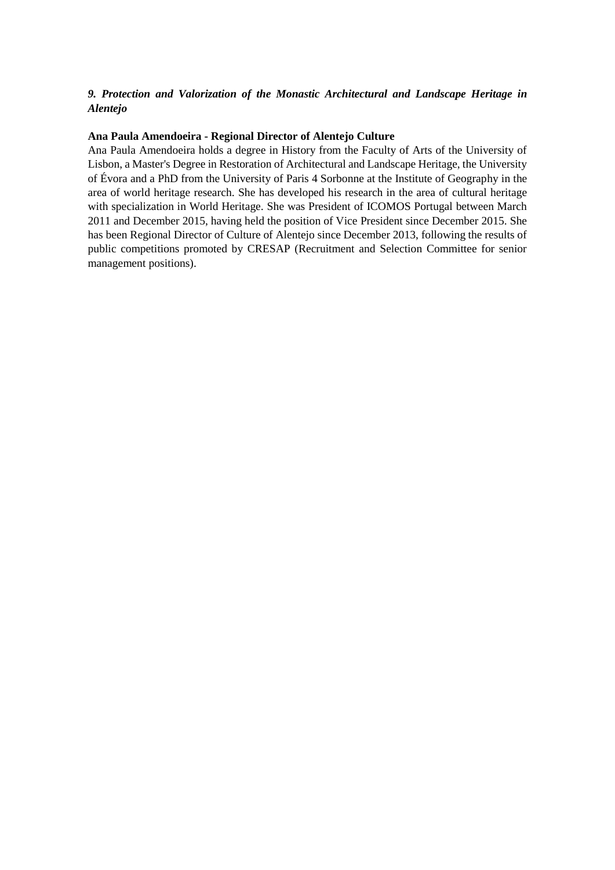# *9. Protection and Valorization of the Monastic Architectural and Landscape Heritage in Alentejo*

### **Ana Paula Amendoeira - Regional Director of Alentejo Culture**

Ana Paula Amendoeira holds a degree in History from the Faculty of Arts of the University of Lisbon, a Master's Degree in Restoration of Architectural and Landscape Heritage, the University of Évora and a PhD from the University of Paris 4 Sorbonne at the Institute of Geography in the area of world heritage research. She has developed his research in the area of cultural heritage with specialization in World Heritage. She was President of ICOMOS Portugal between March 2011 and December 2015, having held the position of Vice President since December 2015. She has been Regional Director of Culture of Alentejo since December 2013, following the results of public competitions promoted by CRESAP (Recruitment and Selection Committee for senior management positions).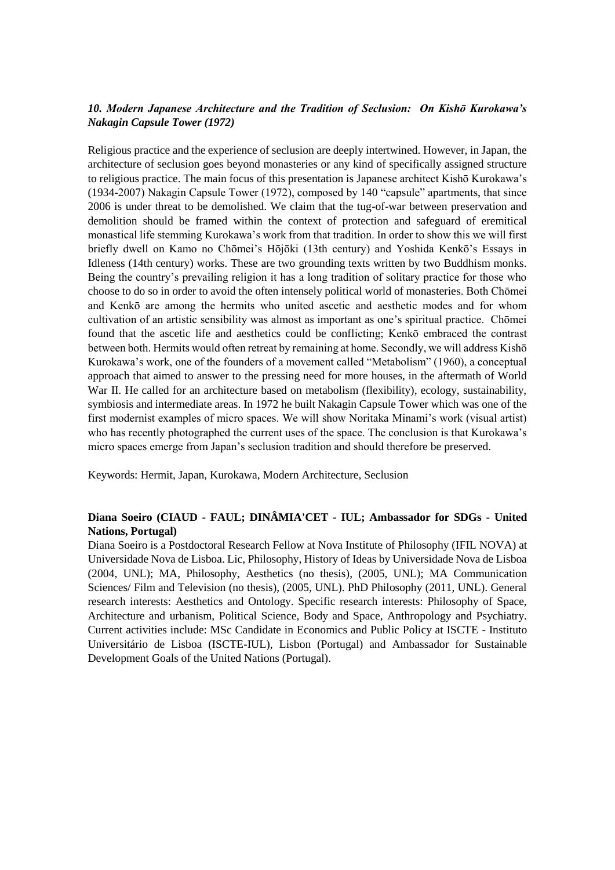# *10. Modern Japanese Architecture and the Tradition of Seclusion: On Kishō Kurokawa's Nakagin Capsule Tower (1972)*

Religious practice and the experience of seclusion are deeply intertwined. However, in Japan, the architecture of seclusion goes beyond monasteries or any kind of specifically assigned structure to religious practice. The main focus of this presentation is Japanese architect Kishō Kurokawa's (1934-2007) Nakagin Capsule Tower (1972), composed by 140 "capsule" apartments, that since 2006 is under threat to be demolished. We claim that the tug-of-war between preservation and demolition should be framed within the context of protection and safeguard of eremitical monastical life stemming Kurokawa's work from that tradition. In order to show this we will first briefly dwell on Kamo no Chōmei's Hōjōki (13th century) and Yoshida Kenkō's Essays in Idleness (14th century) works. These are two grounding texts written by two Buddhism monks. Being the country's prevailing religion it has a long tradition of solitary practice for those who choose to do so in order to avoid the often intensely political world of monasteries. Both Chōmei and Kenkō are among the hermits who united ascetic and aesthetic modes and for whom cultivation of an artistic sensibility was almost as important as one's spiritual practice. Chōmei found that the ascetic life and aesthetics could be conflicting; Kenkō embraced the contrast between both. Hermits would often retreat by remaining at home. Secondly, we will address Kishō Kurokawa's work, one of the founders of a movement called "Metabolism" (1960), a conceptual approach that aimed to answer to the pressing need for more houses, in the aftermath of World War II. He called for an architecture based on metabolism (flexibility), ecology, sustainability, symbiosis and intermediate areas. In 1972 he built Nakagin Capsule Tower which was one of the first modernist examples of micro spaces. We will show Noritaka Minami's work (visual artist) who has recently photographed the current uses of the space. The conclusion is that Kurokawa's micro spaces emerge from Japan's seclusion tradition and should therefore be preserved.

Keywords: Hermit, Japan, Kurokawa, Modern Architecture, Seclusion

## **Diana Soeiro (CIAUD - FAUL; DINÂMIA'CET - IUL; Ambassador for SDGs - United Nations, Portugal)**

Diana Soeiro is a Postdoctoral Research Fellow at Nova Institute of Philosophy (IFIL NOVA) at Universidade Nova de Lisboa. Lic, Philosophy, History of Ideas by Universidade Nova de Lisboa (2004, UNL); MA, Philosophy, Aesthetics (no thesis), (2005, UNL); MA Communication Sciences/ Film and Television (no thesis), (2005, UNL). PhD Philosophy (2011, UNL). General research interests: Aesthetics and Ontology. Specific research interests: Philosophy of Space, Architecture and urbanism, Political Science, Body and Space, Anthropology and Psychiatry. Current activities include: MSc Candidate in Economics and Public Policy at ISCTE - Instituto Universitário de Lisboa (ISCTE-IUL), Lisbon (Portugal) and Ambassador for Sustainable Development Goals of the United Nations (Portugal).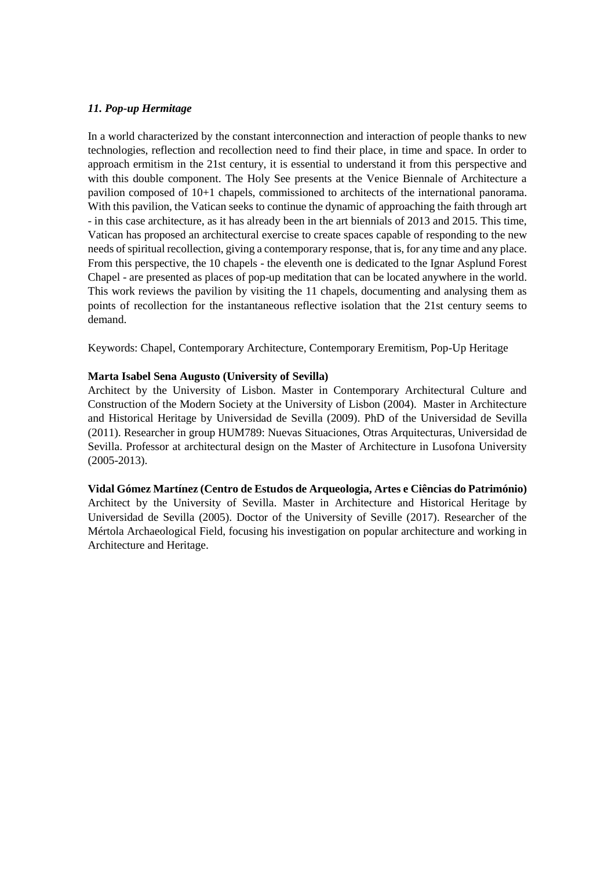### *11. Pop-up Hermitage*

In a world characterized by the constant interconnection and interaction of people thanks to new technologies, reflection and recollection need to find their place, in time and space. In order to approach ermitism in the 21st century, it is essential to understand it from this perspective and with this double component. The Holy See presents at the Venice Biennale of Architecture a pavilion composed of 10+1 chapels, commissioned to architects of the international panorama. With this pavilion, the Vatican seeks to continue the dynamic of approaching the faith through art - in this case architecture, as it has already been in the art biennials of 2013 and 2015. This time, Vatican has proposed an architectural exercise to create spaces capable of responding to the new needs of spiritual recollection, giving a contemporary response, that is, for any time and any place. From this perspective, the 10 chapels - the eleventh one is dedicated to the Ignar Asplund Forest Chapel - are presented as places of pop-up meditation that can be located anywhere in the world. This work reviews the pavilion by visiting the 11 chapels, documenting and analysing them as points of recollection for the instantaneous reflective isolation that the 21st century seems to demand.

Keywords: Chapel, Contemporary Architecture, Contemporary Eremitism, Pop-Up Heritage

## **Marta Isabel Sena Augusto (University of Sevilla)**

Architect by the University of Lisbon. Master in Contemporary Architectural Culture and Construction of the Modern Society at the University of Lisbon (2004). Master in Architecture and Historical Heritage by Universidad de Sevilla (2009). PhD of the Universidad de Sevilla (2011). Researcher in group HUM789: Nuevas Situaciones, Otras Arquitecturas, Universidad de Sevilla. Professor at architectural design on the Master of Architecture in Lusofona University (2005-2013).

### **Vidal Gómez Martínez (Centro de Estudos de Arqueologia, Artes e Ciências do Património)**

Architect by the University of Sevilla. Master in Architecture and Historical Heritage by Universidad de Sevilla (2005). Doctor of the University of Seville (2017). Researcher of the Mértola Archaeological Field, focusing his investigation on popular architecture and working in Architecture and Heritage.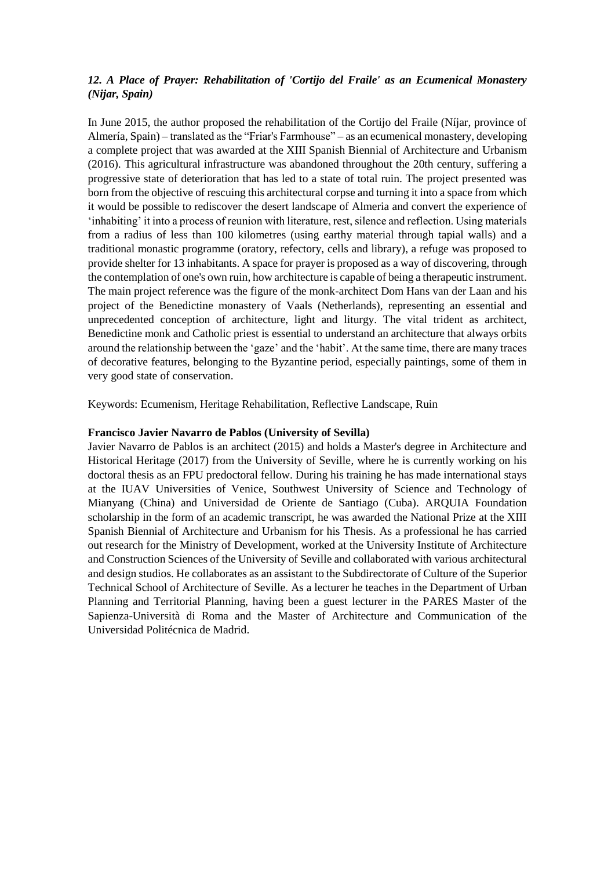# *12. A Place of Prayer: Rehabilitation of 'Cortijo del Fraile' as an Ecumenical Monastery (Nijar, Spain)*

In June 2015, the author proposed the rehabilitation of the Cortijo del Fraile (Níjar, province of Almería, Spain) – translated as the "Friar's Farmhouse" – as an ecumenical monastery, developing a complete project that was awarded at the XIII Spanish Biennial of Architecture and Urbanism (2016). This agricultural infrastructure was abandoned throughout the 20th century, suffering a progressive state of deterioration that has led to a state of total ruin. The project presented was born from the objective of rescuing this architectural corpse and turning it into a space from which it would be possible to rediscover the desert landscape of Almeria and convert the experience of 'inhabiting' it into a process of reunion with literature, rest, silence and reflection. Using materials from a radius of less than 100 kilometres (using earthy material through tapial walls) and a traditional monastic programme (oratory, refectory, cells and library), a refuge was proposed to provide shelter for 13 inhabitants. A space for prayer is proposed as a way of discovering, through the contemplation of one's own ruin, how architecture is capable of being a therapeutic instrument. The main project reference was the figure of the monk-architect Dom Hans van der Laan and his project of the Benedictine monastery of Vaals (Netherlands), representing an essential and unprecedented conception of architecture, light and liturgy. The vital trident as architect, Benedictine monk and Catholic priest is essential to understand an architecture that always orbits around the relationship between the 'gaze' and the 'habit'. At the same time, there are many traces of decorative features, belonging to the Byzantine period, especially paintings, some of them in very good state of conservation.

Keywords: Ecumenism, Heritage Rehabilitation, Reflective Landscape, Ruin

### **Francisco Javier Navarro de Pablos (University of Sevilla)**

Javier Navarro de Pablos is an architect (2015) and holds a Master's degree in Architecture and Historical Heritage (2017) from the University of Seville, where he is currently working on his doctoral thesis as an FPU predoctoral fellow. During his training he has made international stays at the IUAV Universities of Venice, Southwest University of Science and Technology of Mianyang (China) and Universidad de Oriente de Santiago (Cuba). ARQUIA Foundation scholarship in the form of an academic transcript, he was awarded the National Prize at the XIII Spanish Biennial of Architecture and Urbanism for his Thesis. As a professional he has carried out research for the Ministry of Development, worked at the University Institute of Architecture and Construction Sciences of the University of Seville and collaborated with various architectural and design studios. He collaborates as an assistant to the Subdirectorate of Culture of the Superior Technical School of Architecture of Seville. As a lecturer he teaches in the Department of Urban Planning and Territorial Planning, having been a guest lecturer in the PARES Master of the Sapienza-Università di Roma and the Master of Architecture and Communication of the Universidad Politécnica de Madrid.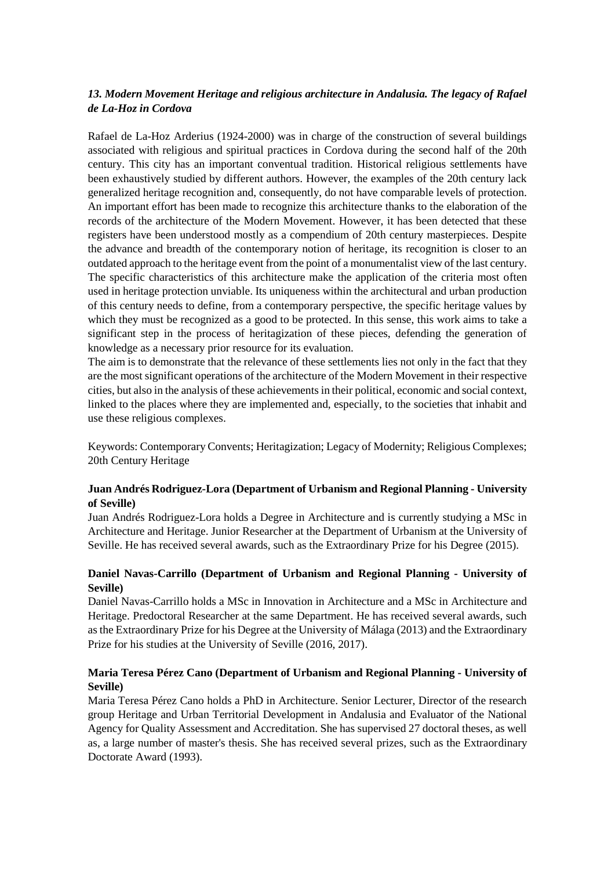# *13. Modern Movement Heritage and religious architecture in Andalusia. The legacy of Rafael de La-Hoz in Cordova*

Rafael de La-Hoz Arderius (1924-2000) was in charge of the construction of several buildings associated with religious and spiritual practices in Cordova during the second half of the 20th century. This city has an important conventual tradition. Historical religious settlements have been exhaustively studied by different authors. However, the examples of the 20th century lack generalized heritage recognition and, consequently, do not have comparable levels of protection. An important effort has been made to recognize this architecture thanks to the elaboration of the records of the architecture of the Modern Movement. However, it has been detected that these registers have been understood mostly as a compendium of 20th century masterpieces. Despite the advance and breadth of the contemporary notion of heritage, its recognition is closer to an outdated approach to the heritage event from the point of a monumentalist view of the last century. The specific characteristics of this architecture make the application of the criteria most often used in heritage protection unviable. Its uniqueness within the architectural and urban production of this century needs to define, from a contemporary perspective, the specific heritage values by which they must be recognized as a good to be protected. In this sense, this work aims to take a significant step in the process of heritagization of these pieces, defending the generation of knowledge as a necessary prior resource for its evaluation.

The aim is to demonstrate that the relevance of these settlements lies not only in the fact that they are the most significant operations of the architecture of the Modern Movement in their respective cities, but also in the analysis of these achievements in their political, economic and social context, linked to the places where they are implemented and, especially, to the societies that inhabit and use these religious complexes.

Keywords: Contemporary Convents; Heritagization; Legacy of Modernity; Religious Complexes; 20th Century Heritage

## **Juan Andrés Rodriguez-Lora (Department of Urbanism and Regional Planning - University of Seville)**

Juan Andrés Rodriguez-Lora holds a Degree in Architecture and is currently studying a MSc in Architecture and Heritage. Junior Researcher at the Department of Urbanism at the University of Seville. He has received several awards, such as the Extraordinary Prize for his Degree (2015).

# **Daniel Navas-Carrillo (Department of Urbanism and Regional Planning - University of Seville)**

Daniel Navas-Carrillo holds a MSc in Innovation in Architecture and a MSc in Architecture and Heritage. Predoctoral Researcher at the same Department. He has received several awards, such as the Extraordinary Prize for his Degree at the University of Málaga (2013) and the Extraordinary Prize for his studies at the University of Seville (2016, 2017).

# **Maria Teresa Pérez Cano (Department of Urbanism and Regional Planning - University of Seville)**

Maria Teresa Pérez Cano holds a PhD in Architecture. Senior Lecturer, Director of the research group Heritage and Urban Territorial Development in Andalusia and Evaluator of the National Agency for Quality Assessment and Accreditation. She has supervised 27 doctoral theses, as well as, a large number of master's thesis. She has received several prizes, such as the Extraordinary Doctorate Award (1993).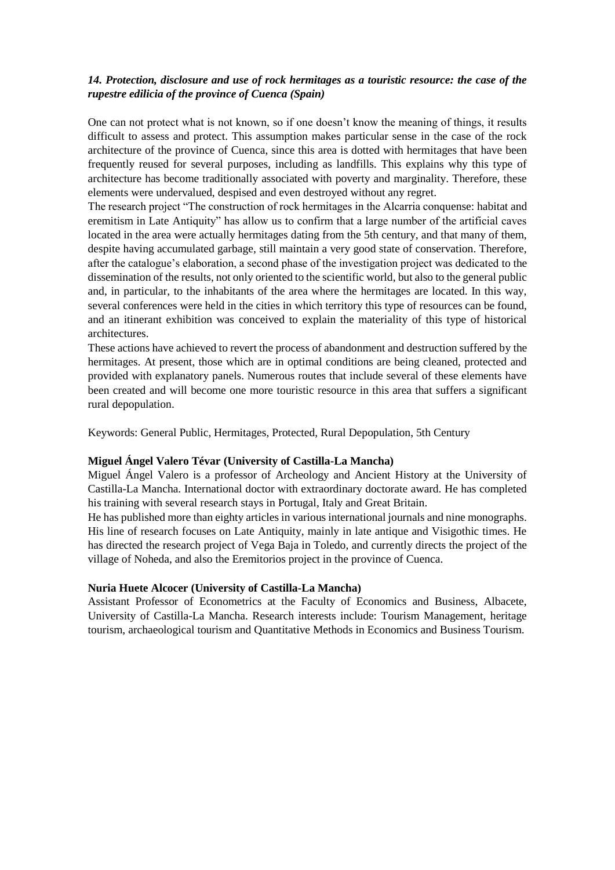# *14. Protection, disclosure and use of rock hermitages as a touristic resource: the case of the rupestre edilicia of the province of Cuenca (Spain)*

One can not protect what is not known, so if one doesn't know the meaning of things, it results difficult to assess and protect. This assumption makes particular sense in the case of the rock architecture of the province of Cuenca, since this area is dotted with hermitages that have been frequently reused for several purposes, including as landfills. This explains why this type of architecture has become traditionally associated with poverty and marginality. Therefore, these elements were undervalued, despised and even destroyed without any regret.

The research project "The construction of rock hermitages in the Alcarria conquense: habitat and eremitism in Late Antiquity" has allow us to confirm that a large number of the artificial caves located in the area were actually hermitages dating from the 5th century, and that many of them, despite having accumulated garbage, still maintain a very good state of conservation. Therefore, after the catalogue's elaboration, a second phase of the investigation project was dedicated to the dissemination of the results, not only oriented to the scientific world, but also to the general public and, in particular, to the inhabitants of the area where the hermitages are located. In this way, several conferences were held in the cities in which territory this type of resources can be found, and an itinerant exhibition was conceived to explain the materiality of this type of historical architectures.

These actions have achieved to revert the process of abandonment and destruction suffered by the hermitages. At present, those which are in optimal conditions are being cleaned, protected and provided with explanatory panels. Numerous routes that include several of these elements have been created and will become one more touristic resource in this area that suffers a significant rural depopulation.

Keywords: General Public, Hermitages, Protected, Rural Depopulation, 5th Century

### **Miguel Ángel Valero Tévar (University of Castilla-La Mancha)**

Miguel Ángel Valero is a professor of Archeology and Ancient History at the University of Castilla-La Mancha. International doctor with extraordinary doctorate award. He has completed his training with several research stays in Portugal, Italy and Great Britain.

He has published more than eighty articles in various international journals and nine monographs. His line of research focuses on Late Antiquity, mainly in late antique and Visigothic times. He has directed the research project of Vega Baja in Toledo, and currently directs the project of the village of Noheda, and also the Eremitorios project in the province of Cuenca.

### **Nuria Huete Alcocer (University of Castilla-La Mancha)**

Assistant Professor of Econometrics at the Faculty of Economics and Business, Albacete, University of Castilla-La Mancha. Research interests include: Tourism Management, heritage tourism, archaeological tourism and Quantitative Methods in Economics and Business Tourism.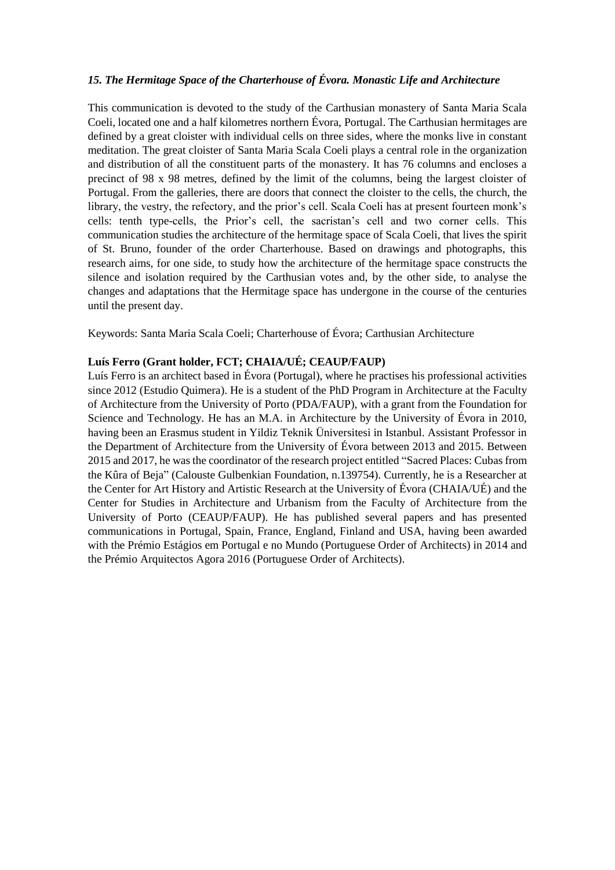### *15. The Hermitage Space of the Charterhouse of Évora. Monastic Life and Architecture*

This communication is devoted to the study of the Carthusian monastery of Santa Maria Scala Coeli, located one and a half kilometres northern Évora, Portugal. The Carthusian hermitages are defined by a great cloister with individual cells on three sides, where the monks live in constant meditation. The great cloister of Santa Maria Scala Coeli plays a central role in the organization and distribution of all the constituent parts of the monastery. It has 76 columns and encloses a precinct of 98 x 98 metres, defined by the limit of the columns, being the largest cloister of Portugal. From the galleries, there are doors that connect the cloister to the cells, the church, the library, the vestry, the refectory, and the prior's cell. Scala Coeli has at present fourteen monk's cells: tenth type-cells, the Prior's cell, the sacristan's cell and two corner cells. This communication studies the architecture of the hermitage space of Scala Coeli, that lives the spirit of St. Bruno, founder of the order Charterhouse. Based on drawings and photographs, this research aims, for one side, to study how the architecture of the hermitage space constructs the silence and isolation required by the Carthusian votes and, by the other side, to analyse the changes and adaptations that the Hermitage space has undergone in the course of the centuries until the present day.

Keywords: Santa Maria Scala Coeli; Charterhouse of Évora; Carthusian Architecture

## **Luís Ferro (Grant holder, FCT; CHAIA/UÉ; CEAUP/FAUP)**

Luís Ferro is an architect based in Évora (Portugal), where he practises his professional activities since 2012 (Estudio Quimera). He is a student of the PhD Program in Architecture at the Faculty of Architecture from the University of Porto (PDA/FAUP), with a grant from the Foundation for Science and Technology. He has an M.A. in Architecture by the University of Évora in 2010, having been an Erasmus student in Yildiz Teknik Üniversitesi in Istanbul. Assistant Professor in the Department of Architecture from the University of Évora between 2013 and 2015. Between 2015 and 2017, he was the coordinator of the research project entitled "Sacred Places: Cubas from the Kûra of Beja" (Calouste Gulbenkian Foundation, n.139754). Currently, he is a Researcher at the Center for Art History and Artistic Research at the University of Évora (CHAIA/UÉ) and the Center for Studies in Architecture and Urbanism from the Faculty of Architecture from the University of Porto (CEAUP/FAUP). He has published several papers and has presented communications in Portugal, Spain, France, England, Finland and USA, having been awarded with the Prémio Estágios em Portugal e no Mundo (Portuguese Order of Architects) in 2014 and the Prémio Arquitectos Agora 2016 (Portuguese Order of Architects).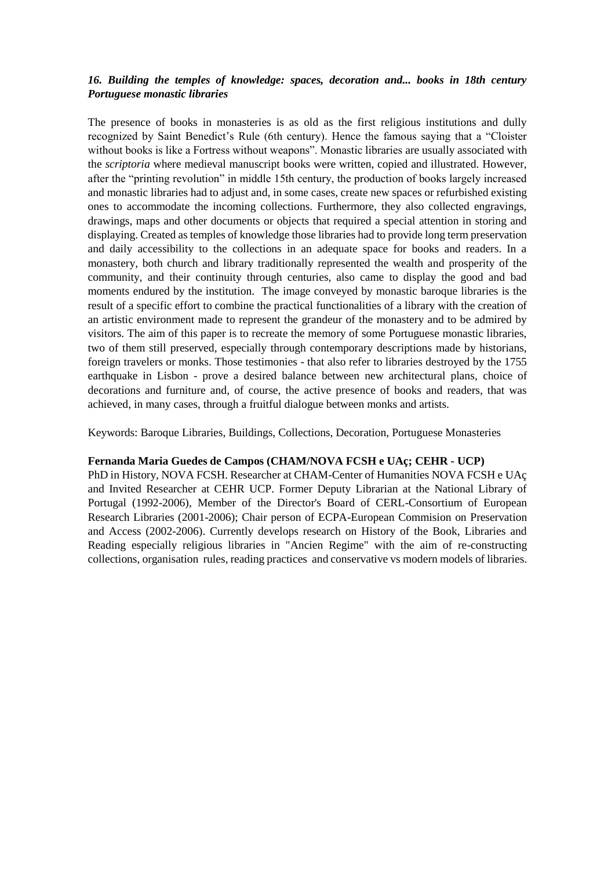# *16. Building the temples of knowledge: spaces, decoration and... books in 18th century Portuguese monastic libraries*

The presence of books in monasteries is as old as the first religious institutions and dully recognized by Saint Benedict's Rule (6th century). Hence the famous saying that a "Cloister without books is like a Fortress without weapons". Monastic libraries are usually associated with the *scriptoria* where medieval manuscript books were written, copied and illustrated. However, after the "printing revolution" in middle 15th century, the production of books largely increased and monastic libraries had to adjust and, in some cases, create new spaces or refurbished existing ones to accommodate the incoming collections. Furthermore, they also collected engravings, drawings, maps and other documents or objects that required a special attention in storing and displaying. Created as temples of knowledge those libraries had to provide long term preservation and daily accessibility to the collections in an adequate space for books and readers. In a monastery, both church and library traditionally represented the wealth and prosperity of the community, and their continuity through centuries, also came to display the good and bad moments endured by the institution. The image conveyed by monastic baroque libraries is the result of a specific effort to combine the practical functionalities of a library with the creation of an artistic environment made to represent the grandeur of the monastery and to be admired by visitors. The aim of this paper is to recreate the memory of some Portuguese monastic libraries, two of them still preserved, especially through contemporary descriptions made by historians, foreign travelers or monks. Those testimonies - that also refer to libraries destroyed by the 1755 earthquake in Lisbon - prove a desired balance between new architectural plans, choice of decorations and furniture and, of course, the active presence of books and readers, that was achieved, in many cases, through a fruitful dialogue between monks and artists.

Keywords: Baroque Libraries, Buildings, Collections, Decoration, Portuguese Monasteries

### **Fernanda Maria Guedes de Campos (CHAM/NOVA FCSH e UAç; CEHR - UCP)**

PhD in History, NOVA FCSH. Researcher at CHAM-Center of Humanities NOVA FCSH e UAç and Invited Researcher at CEHR UCP. Former Deputy Librarian at the National Library of Portugal (1992-2006), Member of the Director's Board of CERL-Consortium of European Research Libraries (2001-2006); Chair person of ECPA-European Commision on Preservation and Access (2002-2006). Currently develops research on History of the Book, Libraries and Reading especially religious libraries in "Ancien Regime" with the aim of re-constructing collections, organisation rules, reading practices and conservative vs modern models of libraries.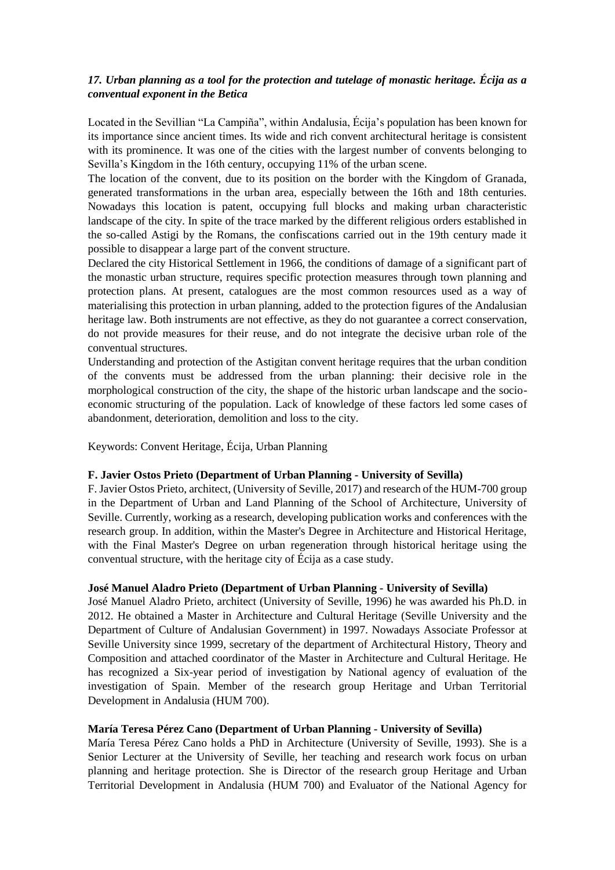# *17. Urban planning as a tool for the protection and tutelage of monastic heritage. Écija as a conventual exponent in the Betica*

Located in the Sevillian "La Campiña", within Andalusia, Écija's population has been known for its importance since ancient times. Its wide and rich convent architectural heritage is consistent with its prominence. It was one of the cities with the largest number of convents belonging to Sevilla's Kingdom in the 16th century, occupying 11% of the urban scene.

The location of the convent, due to its position on the border with the Kingdom of Granada, generated transformations in the urban area, especially between the 16th and 18th centuries. Nowadays this location is patent, occupying full blocks and making urban characteristic landscape of the city. In spite of the trace marked by the different religious orders established in the so-called Astigi by the Romans, the confiscations carried out in the 19th century made it possible to disappear a large part of the convent structure.

Declared the city Historical Settlement in 1966, the conditions of damage of a significant part of the monastic urban structure, requires specific protection measures through town planning and protection plans. At present, catalogues are the most common resources used as a way of materialising this protection in urban planning, added to the protection figures of the Andalusian heritage law. Both instruments are not effective, as they do not guarantee a correct conservation, do not provide measures for their reuse, and do not integrate the decisive urban role of the conventual structures.

Understanding and protection of the Astigitan convent heritage requires that the urban condition of the convents must be addressed from the urban planning: their decisive role in the morphological construction of the city, the shape of the historic urban landscape and the socioeconomic structuring of the population. Lack of knowledge of these factors led some cases of abandonment, deterioration, demolition and loss to the city.

Keywords: Convent Heritage, Écija, Urban Planning

### **F. Javier Ostos Prieto (Department of Urban Planning - University of Sevilla)**

F. Javier Ostos Prieto, architect, (University of Seville, 2017) and research of the HUM-700 group in the Department of Urban and Land Planning of the School of Architecture, University of Seville. Currently, working as a research, developing publication works and conferences with the research group. In addition, within the Master's Degree in Architecture and Historical Heritage, with the Final Master's Degree on urban regeneration through historical heritage using the conventual structure, with the heritage city of Écija as a case study.

# **José Manuel Aladro Prieto (Department of Urban Planning - University of Sevilla)**

José Manuel Aladro Prieto, architect (University of Seville, 1996) he was awarded his Ph.D. in 2012. He obtained a Master in Architecture and Cultural Heritage (Seville University and the Department of Culture of Andalusian Government) in 1997. Nowadays Associate Professor at Seville University since 1999, secretary of the department of Architectural History, Theory and Composition and attached coordinator of the Master in Architecture and Cultural Heritage. He has recognized a Six-year period of investigation by National agency of evaluation of the investigation of Spain. Member of the research group Heritage and Urban Territorial Development in Andalusia (HUM 700).

### **María Teresa Pérez Cano (Department of Urban Planning - University of Sevilla)**

María Teresa Pérez Cano holds a PhD in Architecture (University of Seville, 1993). She is a Senior Lecturer at the University of Seville, her teaching and research work focus on urban planning and heritage protection. She is Director of the research group Heritage and Urban Territorial Development in Andalusia (HUM 700) and Evaluator of the National Agency for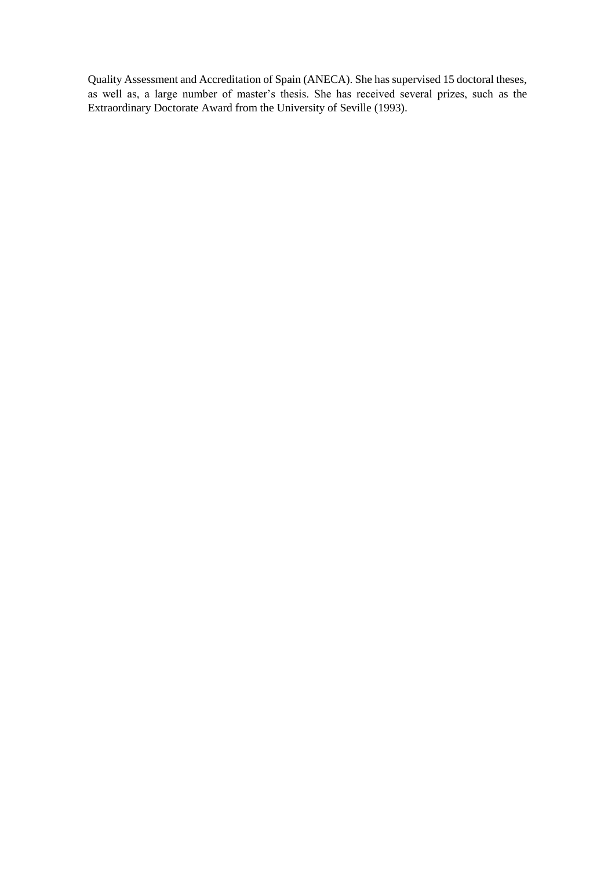Quality Assessment and Accreditation of Spain (ANECA). She has supervised 15 doctoral theses, as well as, a large number of master's thesis. She has received several prizes, such as the Extraordinary Doctorate Award from the University of Seville (1993).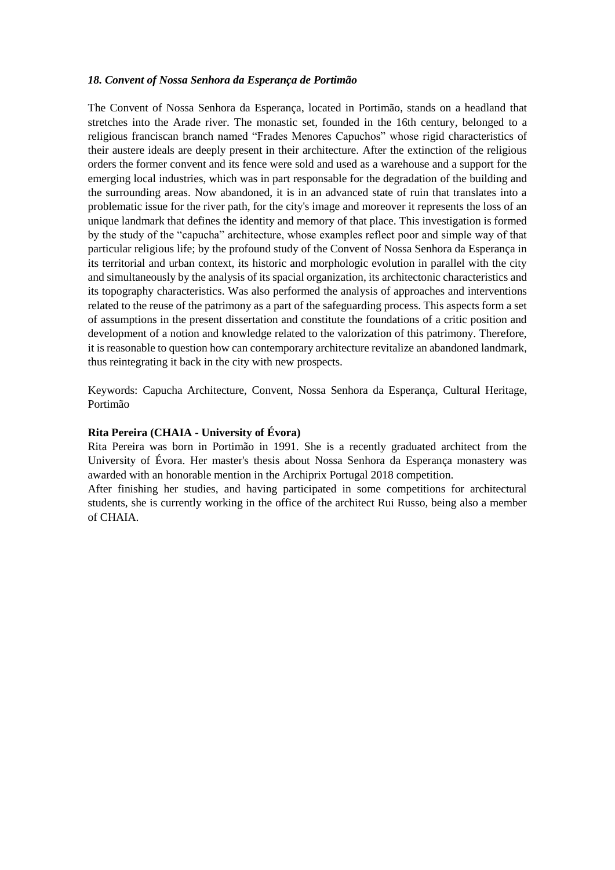### *18. Convent of Nossa Senhora da Esperança de Portimão*

The Convent of Nossa Senhora da Esperança, located in Portimão, stands on a headland that stretches into the Arade river. The monastic set, founded in the 16th century, belonged to a religious franciscan branch named "Frades Menores Capuchos" whose rigid characteristics of their austere ideals are deeply present in their architecture. After the extinction of the religious orders the former convent and its fence were sold and used as a warehouse and a support for the emerging local industries, which was in part responsable for the degradation of the building and the surrounding areas. Now abandoned, it is in an advanced state of ruin that translates into a problematic issue for the river path, for the city's image and moreover it represents the loss of an unique landmark that defines the identity and memory of that place. This investigation is formed by the study of the "capucha" architecture, whose examples reflect poor and simple way of that particular religious life; by the profound study of the Convent of Nossa Senhora da Esperança in its territorial and urban context, its historic and morphologic evolution in parallel with the city and simultaneously by the analysis of its spacial organization, its architectonic characteristics and its topography characteristics. Was also performed the analysis of approaches and interventions related to the reuse of the patrimony as a part of the safeguarding process. This aspects form a set of assumptions in the present dissertation and constitute the foundations of a critic position and development of a notion and knowledge related to the valorization of this patrimony. Therefore, it is reasonable to question how can contemporary architecture revitalize an abandoned landmark, thus reintegrating it back in the city with new prospects.

Keywords: Capucha Architecture, Convent, Nossa Senhora da Esperança, Cultural Heritage, Portimão

### **Rita Pereira (CHAIA - University of Évora)**

Rita Pereira was born in Portimão in 1991. She is a recently graduated architect from the University of Évora. Her master's thesis about Nossa Senhora da Esperança monastery was awarded with an honorable mention in the Archiprix Portugal 2018 competition.

After finishing her studies, and having participated in some competitions for architectural students, she is currently working in the office of the architect Rui Russo, being also a member of CHAIA.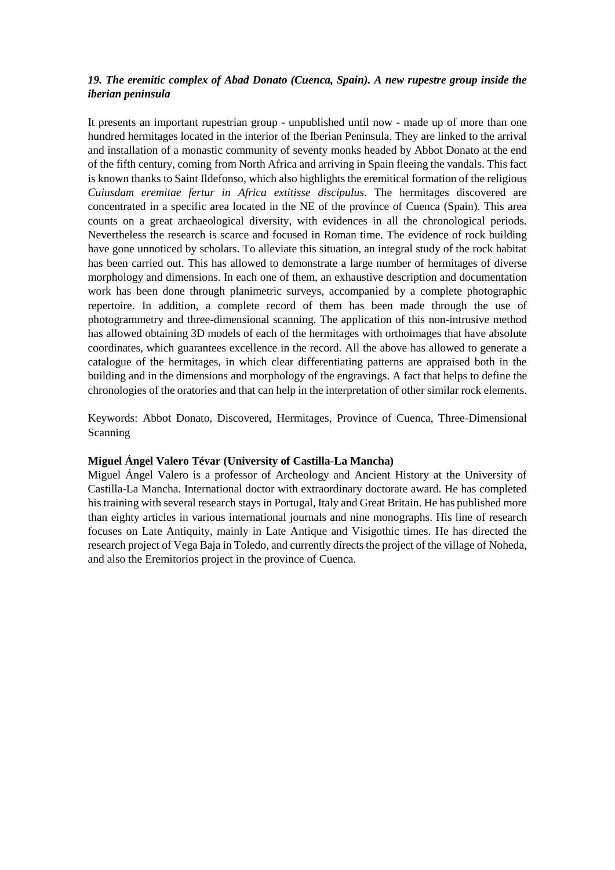# *19. The eremitic complex of Abad Donato (Cuenca, Spain). A new rupestre group inside the iberian peninsula*

It presents an important rupestrian group - unpublished until now - made up of more than one hundred hermitages located in the interior of the Iberian Peninsula. They are linked to the arrival and installation of a monastic community of seventy monks headed by Abbot Donato at the end of the fifth century, coming from North Africa and arriving in Spain fleeing the vandals. This fact is known thanks to Saint Ildefonso, which also highlights the eremitical formation of the religious *Cuiusdam eremitae fertur in Africa extitisse discipulus*. The hermitages discovered are concentrated in a specific area located in the NE of the province of Cuenca (Spain). This area counts on a great archaeological diversity, with evidences in all the chronological periods. Nevertheless the research is scarce and focused in Roman time. The evidence of rock building have gone unnoticed by scholars. To alleviate this situation, an integral study of the rock habitat has been carried out. This has allowed to demonstrate a large number of hermitages of diverse morphology and dimensions. In each one of them, an exhaustive description and documentation work has been done through planimetric surveys, accompanied by a complete photographic repertoire. In addition, a complete record of them has been made through the use of photogrammetry and three-dimensional scanning. The application of this non-intrusive method has allowed obtaining 3D models of each of the hermitages with orthoimages that have absolute coordinates, which guarantees excellence in the record. All the above has allowed to generate a catalogue of the hermitages, in which clear differentiating patterns are appraised both in the building and in the dimensions and morphology of the engravings. A fact that helps to define the chronologies of the oratories and that can help in the interpretation of other similar rock elements.

Keywords: Abbot Donato, Discovered, Hermitages, Province of Cuenca, Three-Dimensional Scanning

### **Miguel Ángel Valero Tévar (University of Castilla-La Mancha)**

Miguel Ángel Valero is a professor of Archeology and Ancient History at the University of Castilla-La Mancha. International doctor with extraordinary doctorate award. He has completed his training with several research stays in Portugal, Italy and Great Britain. He has published more than eighty articles in various international journals and nine monographs. His line of research focuses on Late Antiquity, mainly in Late Antique and Visigothic times. He has directed the research project of Vega Baja in Toledo, and currently directs the project of the village of Noheda, and also the Eremitorios project in the province of Cuenca.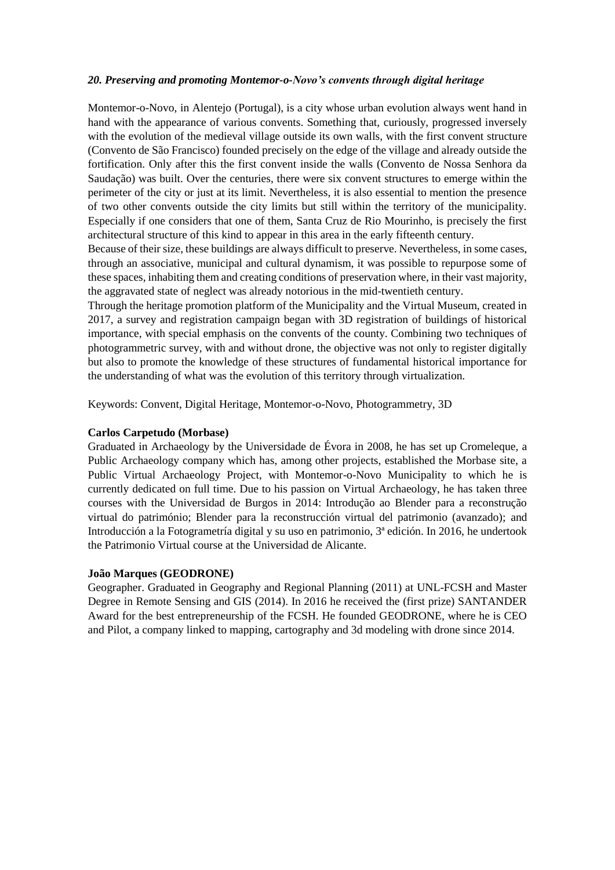### *20. Preserving and promoting Montemor-o-Novo's convents through digital heritage*

Montemor-o-Novo, in Alentejo (Portugal), is a city whose urban evolution always went hand in hand with the appearance of various convents. Something that, curiously, progressed inversely with the evolution of the medieval village outside its own walls, with the first convent structure (Convento de São Francisco) founded precisely on the edge of the village and already outside the fortification. Only after this the first convent inside the walls (Convento de Nossa Senhora da Saudação) was built. Over the centuries, there were six convent structures to emerge within the perimeter of the city or just at its limit. Nevertheless, it is also essential to mention the presence of two other convents outside the city limits but still within the territory of the municipality. Especially if one considers that one of them, Santa Cruz de Rio Mourinho, is precisely the first architectural structure of this kind to appear in this area in the early fifteenth century.

Because of their size, these buildings are always difficult to preserve. Nevertheless, in some cases, through an associative, municipal and cultural dynamism, it was possible to repurpose some of these spaces, inhabiting them and creating conditions of preservation where, in their vast majority, the aggravated state of neglect was already notorious in the mid-twentieth century.

Through the heritage promotion platform of the Municipality and the Virtual Museum, created in 2017, a survey and registration campaign began with 3D registration of buildings of historical importance, with special emphasis on the convents of the county. Combining two techniques of photogrammetric survey, with and without drone, the objective was not only to register digitally but also to promote the knowledge of these structures of fundamental historical importance for the understanding of what was the evolution of this territory through virtualization.

Keywords: Convent, Digital Heritage, Montemor-o-Novo, Photogrammetry, 3D

## **Carlos Carpetudo (Morbase)**

Graduated in Archaeology by the Universidade de Évora in 2008, he has set up Cromeleque, a Public Archaeology company which has, among other projects, established the Morbase site, a Public Virtual Archaeology Project, with Montemor-o-Novo Municipality to which he is currently dedicated on full time. Due to his passion on Virtual Archaeology, he has taken three courses with the Universidad de Burgos in 2014: Introdução ao Blender para a reconstrução virtual do património; Blender para la reconstrucción virtual del patrimonio (avanzado); and Introducción a la Fotogrametría digital y su uso en patrimonio, 3ª edición. In 2016, he undertook the Patrimonio Virtual course at the Universidad de Alicante.

### **João Marques (GEODRONE)**

Geographer. Graduated in Geography and Regional Planning (2011) at UNL-FCSH and Master Degree in Remote Sensing and GIS (2014). In 2016 he received the (first prize) SANTANDER Award for the best entrepreneurship of the FCSH. He founded GEODRONE, where he is CEO and Pilot, a company linked to mapping, cartography and 3d modeling with drone since 2014.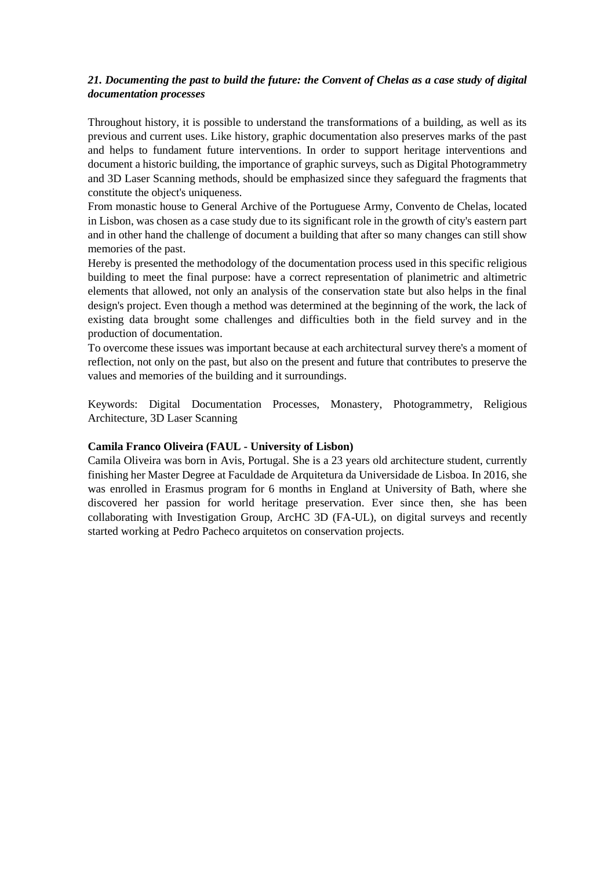# *21. Documenting the past to build the future: the Convent of Chelas as a case study of digital documentation processes*

Throughout history, it is possible to understand the transformations of a building, as well as its previous and current uses. Like history, graphic documentation also preserves marks of the past and helps to fundament future interventions. In order to support heritage interventions and document a historic building, the importance of graphic surveys, such as Digital Photogrammetry and 3D Laser Scanning methods, should be emphasized since they safeguard the fragments that constitute the object's uniqueness.

From monastic house to General Archive of the Portuguese Army, Convento de Chelas, located in Lisbon, was chosen as a case study due to its significant role in the growth of city's eastern part and in other hand the challenge of document a building that after so many changes can still show memories of the past.

Hereby is presented the methodology of the documentation process used in this specific religious building to meet the final purpose: have a correct representation of planimetric and altimetric elements that allowed, not only an analysis of the conservation state but also helps in the final design's project. Even though a method was determined at the beginning of the work, the lack of existing data brought some challenges and difficulties both in the field survey and in the production of documentation.

To overcome these issues was important because at each architectural survey there's a moment of reflection, not only on the past, but also on the present and future that contributes to preserve the values and memories of the building and it surroundings.

Keywords: Digital Documentation Processes, Monastery, Photogrammetry, Religious Architecture, 3D Laser Scanning

### **Camila Franco Oliveira (FAUL - University of Lisbon)**

Camila Oliveira was born in Avis, Portugal. She is a 23 years old architecture student, currently finishing her Master Degree at Faculdade de Arquitetura da Universidade de Lisboa. In 2016, she was enrolled in Erasmus program for 6 months in England at University of Bath, where she discovered her passion for world heritage preservation. Ever since then, she has been collaborating with Investigation Group, ArcHC 3D (FA-UL), on digital surveys and recently started working at Pedro Pacheco arquitetos on conservation projects.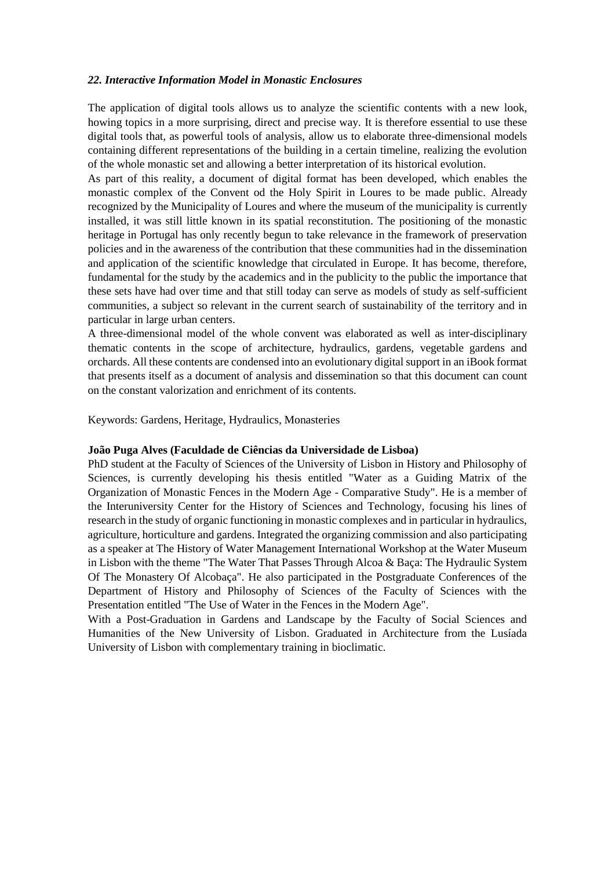### *22. Interactive Information Model in Monastic Enclosures*

The application of digital tools allows us to analyze the scientific contents with a new look, howing topics in a more surprising, direct and precise way. It is therefore essential to use these digital tools that, as powerful tools of analysis, allow us to elaborate three-dimensional models containing different representations of the building in a certain timeline, realizing the evolution of the whole monastic set and allowing a better interpretation of its historical evolution.

As part of this reality, a document of digital format has been developed, which enables the monastic complex of the Convent od the Holy Spirit in Loures to be made public. Already recognized by the Municipality of Loures and where the museum of the municipality is currently installed, it was still little known in its spatial reconstitution. The positioning of the monastic heritage in Portugal has only recently begun to take relevance in the framework of preservation policies and in the awareness of the contribution that these communities had in the dissemination and application of the scientific knowledge that circulated in Europe. It has become, therefore, fundamental for the study by the academics and in the publicity to the public the importance that these sets have had over time and that still today can serve as models of study as self-sufficient communities, a subject so relevant in the current search of sustainability of the territory and in particular in large urban centers.

A three-dimensional model of the whole convent was elaborated as well as inter-disciplinary thematic contents in the scope of architecture, hydraulics, gardens, vegetable gardens and orchards. All these contents are condensed into an evolutionary digital support in an iBook format that presents itself as a document of analysis and dissemination so that this document can count on the constant valorization and enrichment of its contents.

Keywords: Gardens, Heritage, Hydraulics, Monasteries

### **João Puga Alves (Faculdade de Ciências da Universidade de Lisboa)**

PhD student at the Faculty of Sciences of the University of Lisbon in History and Philosophy of Sciences, is currently developing his thesis entitled "Water as a Guiding Matrix of the Organization of Monastic Fences in the Modern Age - Comparative Study". He is a member of the Interuniversity Center for the History of Sciences and Technology, focusing his lines of research in the study of organic functioning in monastic complexes and in particular in hydraulics, agriculture, horticulture and gardens. Integrated the organizing commission and also participating as a speaker at The History of Water Management International Workshop at the Water Museum in Lisbon with the theme "The Water That Passes Through Alcoa & Baça: The Hydraulic System Of The Monastery Of Alcobaça". He also participated in the Postgraduate Conferences of the Department of History and Philosophy of Sciences of the Faculty of Sciences with the Presentation entitled "The Use of Water in the Fences in the Modern Age".

With a Post-Graduation in Gardens and Landscape by the Faculty of Social Sciences and Humanities of the New University of Lisbon. Graduated in Architecture from the Lusíada University of Lisbon with complementary training in bioclimatic.